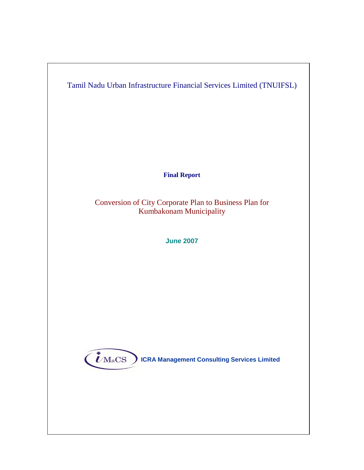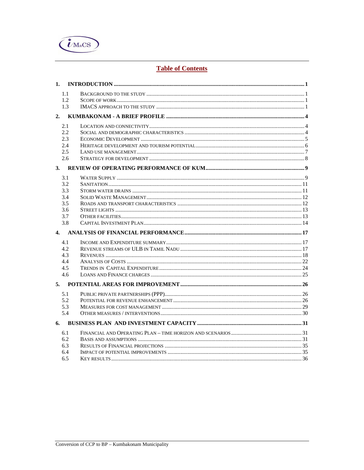

# **Table of Contents**

| 1.   |  |
|------|--|
| 1.1  |  |
| 1.2. |  |
| 1.3  |  |
|      |  |
| 2.1  |  |
| 2.2  |  |
| 2.3  |  |
| 2.4  |  |
| 2.5  |  |
| 2.6  |  |
|      |  |
| 3.1  |  |
| 3.2  |  |
| 3.3  |  |
| 3.4  |  |
| 3.5  |  |
| 3.6  |  |
| 3.7  |  |
| 3.8  |  |
|      |  |
| 4.1  |  |
| 4.2  |  |
| 4.3  |  |
| 4.4  |  |
| 4.5  |  |
| 4.6  |  |
| 5.   |  |
| 5.1  |  |
| 5.2  |  |
| 5.3  |  |
| 5.4  |  |
|      |  |
| 6.1  |  |
| 6.2  |  |
| 6.3  |  |
| 6.4  |  |
| 6.5  |  |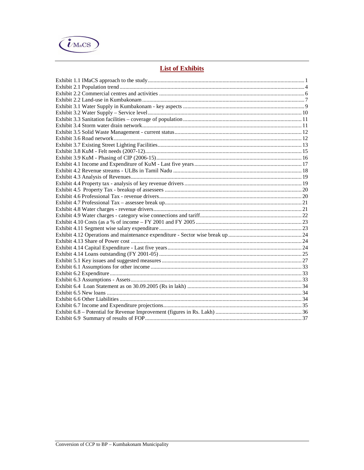

# **List of Exhibits**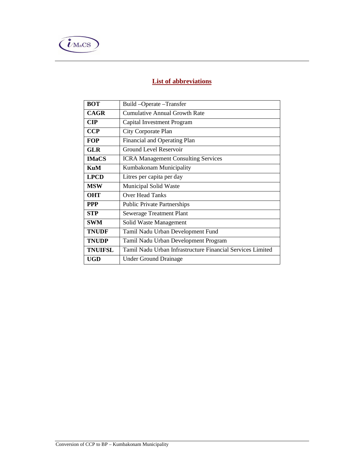

# **List of abbreviations**

| <b>BOT</b>                                           | Build-Operate-Transfer                                     |
|------------------------------------------------------|------------------------------------------------------------|
| <b>CAGR</b>                                          | Cumulative Annual Growth Rate                              |
| <b>CIP</b>                                           | Capital Investment Program                                 |
| <b>CCP</b>                                           | City Corporate Plan                                        |
| <b>FOP</b>                                           | Financial and Operating Plan                               |
| GLR                                                  | <b>Ground Level Reservoir</b>                              |
| <b>IMaCS</b>                                         | <b>ICRA Management Consulting Services</b>                 |
| KuM                                                  | Kumbakonam Municipality                                    |
| <b>LPCD</b>                                          | Litres per capita per day                                  |
| <b>MSW</b>                                           | Municipal Solid Waste                                      |
| <b>OHT</b><br>Over Head Tanks                        |                                                            |
| <b>PPP</b>                                           | <b>Public Private Partnerships</b>                         |
| <b>STP</b>                                           | <b>Sewerage Treatment Plant</b>                            |
| <b>SWM</b>                                           | Solid Waste Management                                     |
| <b>TNUDF</b><br>Tamil Nadu Urban Development Fund    |                                                            |
| <b>TNUDP</b><br>Tamil Nadu Urban Development Program |                                                            |
| <b>TNUIFSL</b>                                       | Tamil Nadu Urban Infrastructure Financial Services Limited |
| <b>UGD</b>                                           | <b>Under Ground Drainage</b>                               |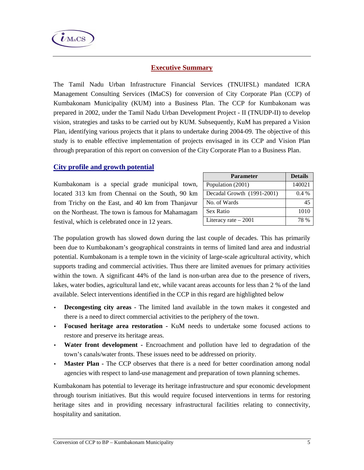

# **Executive Summary**

The Tamil Nadu Urban Infrastructure Financial Services (TNUIFSL) mandated ICRA Management Consulting Services (IMaCS) for conversion of City Corporate Plan (CCP) of Kumbakonam Municipality (KUM) into a Business Plan. The CCP for Kumbakonam was prepared in 2002, under the Tamil Nadu Urban Development Project - II (TNUDP-II) to develop vision, strategies and tasks to be carried out by KUM. Subsequently, KuM has prepared a Vision Plan, identifying various projects that it plans to undertake during 2004-09. The objective of this study is to enable effective implementation of projects envisaged in its CCP and Vision Plan through preparation of this report on conversion of the City Corporate Plan to a Business Plan.

# **City profile and growth potential**

Kumbakonam is a special grade municipal town, located 313 km from Chennai on the South, 90 km from Trichy on the East, and 40 km from Thanjavur on the Northeast. The town is famous for Mahamagam festival, which is celebrated once in 12 years.

| <b>Parameter</b>           | <b>Details</b> |
|----------------------------|----------------|
| Population (2001)          | 140021         |
| Decadal Growth (1991-2001) | $0.4\%$        |
| No. of Wards               | 45             |
| Sex Ratio                  | 1010           |
| Literacy rate $-2001$      | 78 %           |

The population growth has slowed down during the last couple of decades. This has primarily been due to Kumbakonam's geographical constraints in terms of limited land area and industrial potential. Kumbakonam is a temple town in the vicinity of large-scale agricultural activity, which supports trading and commercial activities. Thus there are limited avenues for primary activities within the town. A significant 44% of the land is non-urban area due to the presence of rivers, lakes, water bodies, agricultural land etc, while vacant areas accounts for less than 2 % of the land available. Select interventions identified in the CCP in this regard are highlighted below

- **Decongesting city areas**  The limited land available in the town makes it congested and there is a need to direct commercial activities to the periphery of the town.
- **Focused heritage area restoration** KuM needs to undertake some focused actions to restore and preserve its heritage areas.
- **Water front development -** Encroachment and pollution have led to degradation of the town's canals/water fronts. These issues need to be addressed on priority.
- **Master Plan** The CCP observes that there is a need for better coordination among nodal agencies with respect to land-use management and preparation of town planning schemes.

Kumbakonam has potential to leverage its heritage infrastructure and spur economic development through tourism initiatives. But this would require focused interventions in terms for restoring heritage sites and in providing necessary infrastructural facilities relating to connectivity, hospitality and sanitation.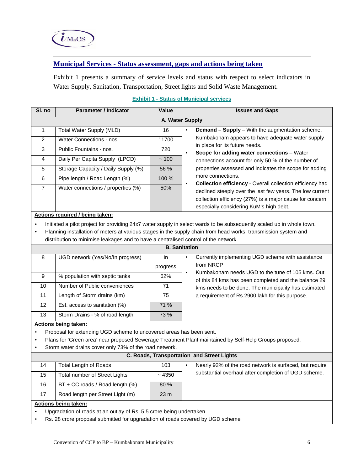

# **Municipal Services - Status assessment, gaps and actions being taken**

Exhibit 1 presents a summary of service levels and status with respect to select indicators in Water Supply, Sanitation, Transportation, Street lights and Solid Waste Management.

| SI. no         | <b>Parameter / Indicator</b>        | Value | <b>Issues and Gaps</b>                                                                                                                                                                                                                     |
|----------------|-------------------------------------|-------|--------------------------------------------------------------------------------------------------------------------------------------------------------------------------------------------------------------------------------------------|
|                |                                     |       | A. Water Supply                                                                                                                                                                                                                            |
|                | <b>Total Water Supply (MLD)</b>     | 16    | <b>Demand – Supply</b> – With the augmentation scheme,<br>٠                                                                                                                                                                                |
| $\mathcal{P}$  | Water Connections - nos.            | 11700 | Kumbakonam appears to have adequate water supply                                                                                                                                                                                           |
| 3              | Public Fountains - nos.             | 720   | in place for its future needs.<br>Scope for adding water connections - Water<br>٠                                                                                                                                                          |
| 4              | Daily Per Capita Supply (LPCD)      | ~100  | connections account for only 50 % of the number of                                                                                                                                                                                         |
| 5              | Storage Capacity / Daily Supply (%) | 56 %  | properties assessed and indicates the scope for adding                                                                                                                                                                                     |
| 6              | Pipe length / Road Length (%)       | 100 % | more connections.                                                                                                                                                                                                                          |
| $\overline{7}$ | Water connections / properties (%)  | 50%   | <b>Collection efficiency - Overall collection efficiency had</b><br>٠<br>declined steeply over the last few years. The low current<br>collection efficiency (27%) is a major cause for concern,<br>especially considering KuM's high debt. |

#### **Exhibit 1 - Status of Municipal services**

#### **Actions required / being taken:**

• Initiated a pilot project for providing 24x7 water supply in select wards to be subsequently scaled up in whole town.

• Planning installation of meters at various stages in the supply chain from head works, transmission system and distribution to minimise leakages and to have a centralised control of the network.

|    |                                  |          | <b>B.</b> Sanitation                                                                                     |
|----|----------------------------------|----------|----------------------------------------------------------------------------------------------------------|
| 8  | UGD network (Yes/No/In progress) | In.      | Currently implementing UGD scheme with assistance<br>from NRCP                                           |
|    |                                  | progress |                                                                                                          |
| 9  | % population with septic tanks   | 62%      | Kumbakonam needs UGD to the tune of 105 kms. Out<br>of this 84 kms has been completed and the balance 29 |
| 10 | Number of Public conveniences    | 71       | kms needs to be done. The municipality has estimated                                                     |
| 11 | Length of Storm drains (km)      | 75       | a requirement of Rs.2900 lakh for this purpose.                                                          |
| 12 | Est. access to sanitation (%)    | 71%      |                                                                                                          |
| 13 | Storm Drains - % of road length  | 73 %     |                                                                                                          |

#### **Actions being taken:**

• Proposal for extending UGD scheme to uncovered areas has been sent.

- Plans for 'Green area' near proposed Sewerage Treatment Plant maintained by Self-Help Groups proposed.
- Storm water drains cover only 73% of the road network.

| Storm water drains cover only 73% of the road network.<br>$\bullet$ |                                                   |                 |  |                                                         |  |  |  |
|---------------------------------------------------------------------|---------------------------------------------------|-----------------|--|---------------------------------------------------------|--|--|--|
|                                                                     | <b>C. Roads, Transportation and Street Lights</b> |                 |  |                                                         |  |  |  |
| 14                                                                  | Total Length of Roads                             | 103             |  | Nearly 92% of the road network is surfaced, but require |  |  |  |
| 15                                                                  | Total number of Street Lights                     | ~14350          |  | substantial overhaul after completion of UGD scheme.    |  |  |  |
| 16                                                                  | $BT + CC$ roads / Road length $(\%)$              | 80%             |  |                                                         |  |  |  |
| 17                                                                  | Road length per Street Light (m)                  | 23 <sub>m</sub> |  |                                                         |  |  |  |
| Actions being taken:                                                |                                                   |                 |  |                                                         |  |  |  |
|                                                                     |                                                   |                 |  |                                                         |  |  |  |

- Upgradation of roads at an outlay of Rs. 5.5 crore being undertaken
- Rs. 28 crore proposal submitted for upgradation of roads covered by UGD scheme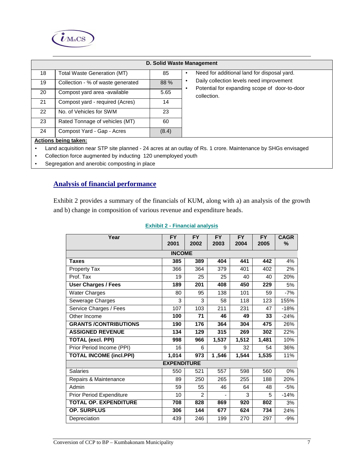

|    |                                    |       | D. Solid Waste Management                                                                              |  |  |  |  |
|----|------------------------------------|-------|--------------------------------------------------------------------------------------------------------|--|--|--|--|
| 18 | <b>Total Waste Generation (MT)</b> | 85    | Need for additional land for disposal yard.<br>$\bullet$                                               |  |  |  |  |
| 19 | Collection - % of waste generated  | 88 %  | Daily collection levels need improvement<br>$\bullet$<br>Potential for expanding scope of door-to-door |  |  |  |  |
| 20 | Compost yard area -available       | 5.65  | ٠<br>collection.                                                                                       |  |  |  |  |
| 21 | Compost yard - required (Acres)    | 14    |                                                                                                        |  |  |  |  |
| 22 | No. of Vehicles for SWM            | 23    |                                                                                                        |  |  |  |  |
| 23 | Rated Tonnage of vehicles (MT)     | 60    |                                                                                                        |  |  |  |  |
| 24 | Compost Yard - Gap - Acres         | (8.4) |                                                                                                        |  |  |  |  |
|    | <b>Actions being taken:</b>        |       |                                                                                                        |  |  |  |  |
|    |                                    |       |                                                                                                        |  |  |  |  |

- Land acquisition near STP site planned 24 acres at an outlay of Rs. 1 crore. Maintenance by SHGs envisaged
- Collection force augmented by inducting 120 unemployed youth
- Segregation and anerobic composting in place

# **Analysis of financial performance**

Exhibit 2 provides a summary of the financials of KUM, along with a) an analysis of the growth and b) change in composition of various revenue and expenditure heads.

| Year                           | <b>FY</b><br>2001  | <b>FY</b><br>2002 | <b>FY</b><br>2003 | <b>FY</b><br>2004 | <b>FY</b><br>2005 | <b>CAGR</b><br>% |  |
|--------------------------------|--------------------|-------------------|-------------------|-------------------|-------------------|------------------|--|
| <b>INCOME</b>                  |                    |                   |                   |                   |                   |                  |  |
| <b>Taxes</b>                   | 385                | 389               | 404               | 441               | 442               | 4%               |  |
| Property Tax                   | 366                | 364               | 379               | 401               | 402               | 2%               |  |
| Prof. Tax                      | 19                 | 25                | 25                | 40                | 40                | 20%              |  |
| <b>User Charges / Fees</b>     | 189                | 201               | 408               | 450               | 229               | 5%               |  |
| <b>Water Charges</b>           | 80                 | 95                | 138               | 101               | 59                | $-7%$            |  |
| Sewerage Charges               | 3                  | 3                 | 58                | 118               | 123               | 155%             |  |
| Service Charges / Fees         | 107                | 103               | 211               | 231               | 47                | $-18%$           |  |
| Other Income                   | 100                | 71                | 46                | 49                | 33                | $-24%$           |  |
| <b>GRANTS /CONTRIBUTIONS</b>   | 190                | 176               | 364               | 304               | 475               | 26%              |  |
| <b>ASSIGNED REVENUE</b>        | 134                | 129               | 315               | 269               | 302               | 22%              |  |
| <b>TOTAL (excl. PPI)</b>       | 998                | 966               | 1,537             | 1,512             | 1,481             | 10%              |  |
| Prior Period Income (PPI)      | 16                 | 6                 | 9                 | 32                | 54                | 36%              |  |
| <b>TOTAL INCOME (incl.PPI)</b> | 1,014              | 973               | 1,546             | 1,544             | 1,535             | 11%              |  |
|                                | <b>EXPENDITURE</b> |                   |                   |                   |                   |                  |  |
| <b>Salaries</b>                | 550                | 521               | 557               | 598               | 560               | 0%               |  |
| Repairs & Maintenance          | 89                 | 250               | 265               | 255               | 188               | 20%              |  |
| Admin                          | 59                 | 55                | 46                | 64                | 48                | $-5%$            |  |
| Prior Period Expenditure       | 10                 | $\overline{2}$    |                   | 3                 | 5                 | $-14%$           |  |
| <b>TOTAL OP. EXPENDITURE</b>   | 708                | 828               | 869               | 920               | 802               | 3%               |  |
| <b>OP. SURPLUS</b>             | 306                | 144               | 677               | 624               | 734               | 24%              |  |
| Depreciation                   | 439                | 246               | 199               | 270               | 297               | $-9%$            |  |

#### **Exhibit 2 - Financial analysis**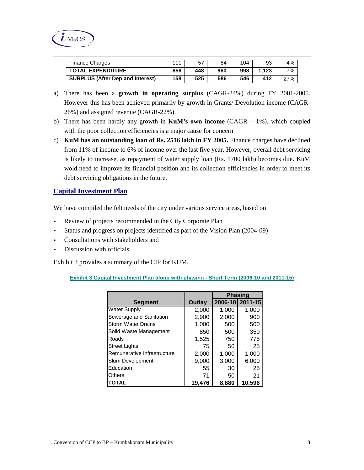

| <b>Finance Charges</b>                  | 111 |     | 84  | 104 | 93    | $-4%$ |
|-----------------------------------------|-----|-----|-----|-----|-------|-------|
| <b>TOTAL EXPENDITURE</b>                | 856 | 448 | 960 | 998 | 1.123 | 7%    |
| <b>SURPLUS (After Dep and Interest)</b> | 158 | 525 | 586 | 546 | 412   | 27%   |

- a) There has been a **growth in operating surplus** (CAGR-24%) during FY 2001-2005. However this has been achieved primarily by growth in Grants/ Devolution income (CAGR-26%) and assigned revenue (CAGR-22%).
- b) There has been hardly any growth in **KuM's own income** (CAGR 1%), which coupled with the poor collection efficiencies is a major cause for concern
- c) **KuM has an outstanding loan of Rs. 2516 lakh in FY 2005.** Finance charges have declined from 11% of income to 6% of income over the last five year. However, overall debt servicing is likely to increase, as repayment of water supply loan (Rs. 1700 lakh) becomes due. KuM wold need to improve its financial position and its collection efficiencies in order to meet its debt servicing obligations in the future.

# **Capital Investment Plan**

We have compiled the felt needs of the city under various service areas, based on

- Review of projects recommended in the City Corporate Plan
- Status and progress on projects identified as part of the Vision Plan (2004-09)
- Consultations with stakeholders and
- Discussion with officials

Exhibit 3 provides a summary of the CIP for KUM.

# **Exhibit 3 Capital Investment Plan along with phasing - Short Term (2006-10 and 2011-15)**

|                             |        | <b>Phasing</b> |                 |  |
|-----------------------------|--------|----------------|-----------------|--|
| <b>Segment</b>              | Outlay |                | 2006-10 2011-15 |  |
| <b>Water Supply</b>         | 2,000  | 1,000          | 1,000           |  |
| Sewerage and Sanitation     | 2,900  | 2,000          | 900             |  |
| <b>Storm Water Drains</b>   | 1,000  | 500            | 500             |  |
| Solid Waste Management      | 850    | 500            | 350             |  |
| Roads                       | 1,525  | 750            | 775             |  |
| <b>Street Lights</b>        | 75     | 50             | 25              |  |
| Remunerative Infrastructure | 2,000  | 1,000          | 1,000           |  |
| Slum Development            | 9,000  | 3,000          | 6,000           |  |
| Education                   | 55     | 30             | 25              |  |
| <b>Others</b>               | 71     | 50             | 21              |  |
| <b>TOTAL</b>                | 19.476 | 8.880          | 10,596          |  |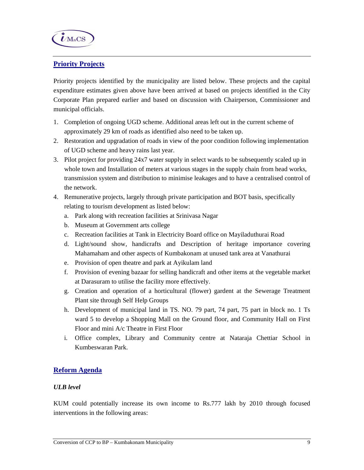

# **Priority Projects**

Priority projects identified by the municipality are listed below. These projects and the capital expenditure estimates given above have been arrived at based on projects identified in the City Corporate Plan prepared earlier and based on discussion with Chairperson, Commissioner and municipal officials.

- 1. Completion of ongoing UGD scheme. Additional areas left out in the current scheme of approximately 29 km of roads as identified also need to be taken up.
- 2. Restoration and upgradation of roads in view of the poor condition following implementation of UGD scheme and heavy rains last year.
- 3. Pilot project for providing 24x7 water supply in select wards to be subsequently scaled up in whole town and Installation of meters at various stages in the supply chain from head works, transmission system and distribution to minimise leakages and to have a centralised control of the network.
- 4. Remunerative projects, largely through private participation and BOT basis, specifically relating to tourism development as listed below:
	- a. Park along with recreation facilities at Srinivasa Nagar
	- b. Museum at Government arts college
	- c. Recreation facilities at Tank in Electricity Board office on Mayiladuthurai Road
	- d. Light/sound show, handicrafts and Description of heritage importance covering Mahamaham and other aspects of Kumbakonam at unused tank area at Vanathurai
	- e. Provision of open theatre and park at Ayikulam land
	- f. Provision of evening bazaar for selling handicraft and other items at the vegetable market at Darasuram to utilise the facility more effectively.
	- g. Creation and operation of a horticultural (flower) gardent at the Sewerage Treatment Plant site through Self Help Groups
	- h. Development of municipal land in TS. NO. 79 part, 74 part, 75 part in block no. 1 Ts ward 5 to develop a Shopping Mall on the Ground floor, and Community Hall on First Floor and mini A/c Theatre in First Floor
	- i. Office complex, Library and Community centre at Nataraja Chettiar School in Kumbeswaran Park.

# **Reform Agenda**

# *ULB level*

KUM could potentially increase its own income to Rs.777 lakh by 2010 through focused interventions in the following areas: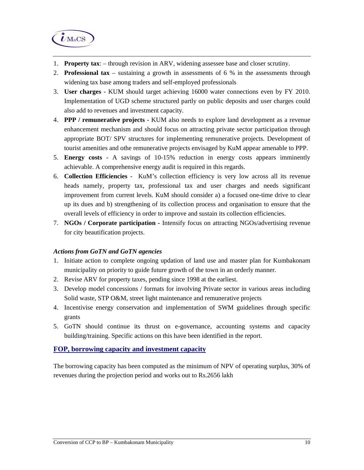

- 1. **Property tax**: through revision in ARV, widening assessee base and closer scrutiny.
- 2. **Professional tax**  sustaining a growth in assessments of 6 % in the assessments through widening tax base among traders and self-employed professionals
- 3. **User charges**  KUM should target achieving 16000 water connections even by FY 2010. Implementation of UGD scheme structured partly on public deposits and user charges could also add to revenues and investment capacity.
- 4. **PPP / remunerative projects**  KUM also needs to explore land development as a revenue enhancement mechanism and should focus on attracting private sector participation through appropriate BOT/ SPV structures for implementing remunerative projects. Development of tourist amenities and othe remunerative projects envisaged by KuM appear amenable to PPP.
- 5. **Energy costs**  A savings of 10-15% reduction in energy costs appears imminently achievable. A comprehensive energy audit is required in this regards.
- 6. **Collection Efficiencies**  KuM's collection efficiency is very low across all its revenue heads namely, property tax, professional tax and user charges and needs significant improvement from current levels. KuM should consider a) a focused one-time drive to clear up its dues and b) strengthening of its collection process and organisation to ensure that the overall levels of efficiency in order to improve and sustain its collection efficiencies.
- 7. **NGOs / Corporate participation** Intensify focus on attracting NGOs/advertising revenue for city beautification projects.

# *Actions from GoTN and GoTN agencies*

- 1. Initiate action to complete ongoing updation of land use and master plan for Kumbakonam municipality on priority to guide future growth of the town in an orderly manner.
- 2. Revise ARV for property taxes, pending since 1998 at the earliest.
- 3. Develop model concessions / formats for involving Private sector in various areas including Solid waste, STP O&M, street light maintenance and remunerative projects
- 4. Incentivise energy conservation and implementation of SWM guidelines through specific grants
- 5. GoTN should continue its thrust on e-governance, accounting systems and capacity building/training. Specific actions on this have been identified in the report.

# **FOP, borrowing capacity and investment capacity**

The borrowing capacity has been computed as the minimum of NPV of operating surplus, 30% of revenues during the projection period and works out to Rs.2656 lakh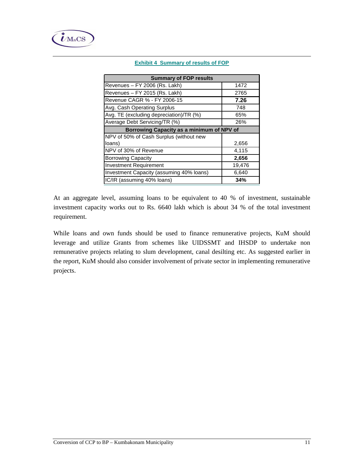| <b>Summary of FOP results</b>             |  |  |  |  |  |
|-------------------------------------------|--|--|--|--|--|
| 1472                                      |  |  |  |  |  |
| 2765                                      |  |  |  |  |  |
| 7.26                                      |  |  |  |  |  |
| 748                                       |  |  |  |  |  |
| 65%                                       |  |  |  |  |  |
| 26%                                       |  |  |  |  |  |
| Borrowing Capacity as a minimum of NPV of |  |  |  |  |  |
|                                           |  |  |  |  |  |
| 2,656                                     |  |  |  |  |  |
| 4,115                                     |  |  |  |  |  |
| 2,656                                     |  |  |  |  |  |
| 19,476                                    |  |  |  |  |  |
| 6,640                                     |  |  |  |  |  |
| 34%                                       |  |  |  |  |  |
|                                           |  |  |  |  |  |

#### **Exhibit 4 Summary of results of FOP**

At an aggregate level, assuming loans to be equivalent to 40 % of investment, sustainable investment capacity works out to Rs. 6640 lakh which is about 34 % of the total investment requirement.

While loans and own funds should be used to finance remunerative projects, KuM should leverage and utilize Grants from schemes like UIDSSMT and IHSDP to undertake non remunerative projects relating to slum development, canal desilting etc. As suggested earlier in the report, KuM should also consider involvement of private sector in implementing remunerative projects.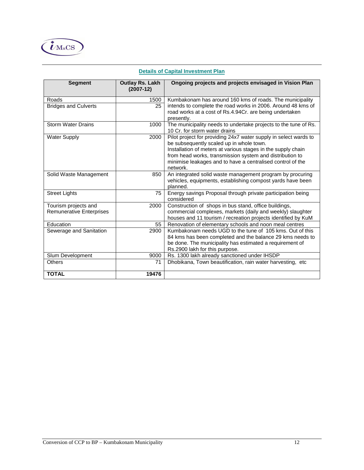

#### **Segment Outlay Rs. Lakh (2007-12) Ongoing projects and projects envisaged in Vision Plan**  Roads 1500 Kumbakonam has around 160 kms of roads. The municipality intends to complete the road works in 2006. Around 48 kms of road works at a cost of Rs.4.94Cr. are being undertaken presently. Bridges and Culverts 1 Storm Water Drains 1000 | The municipality needs to undertake projects to the tune of Rs. 10 Cr. for storm water drains Water Supply 2000 | Pilot project for providing 24x7 water supply in select wards to be subsequently scaled up in whole town. Installation of meters at various stages in the supply chain from head works, transmission system and distribution to minimise leakages and to have a centralised control of the network. Solid Waste Management 850 An integrated solid waste management program by procuring vehicles, equipments, establishing compost yards have been planned. Street Lights 75 Energy savings Proposal through private participation being considered Tourism projects and Remunerative Enterprises 2000 Construction of shops in bus stand, office buildings, commercial complexes, markets (daily and weekly) slaughter houses and 11 tourism / recreation projects identified by KuM Education 55 Renovation of elementary schools and noon meal centres Sewerage and Sanitation 2900 | Kumbakonam needs UGD to the tune of 105 kms. Out of this 84 kms has been completed and the balance 29 kms needs to be done. The municipality has estimated a requirement of Rs.2900 lakh for this purpose. Slum Development 9000 Rs. 1300 lakh already sanctioned under IHSDP Others 71 Dhobikana, Town beautification, rain water harvesting, etc

#### **Details of Capital Investment Plan**

**TOTAL 19476**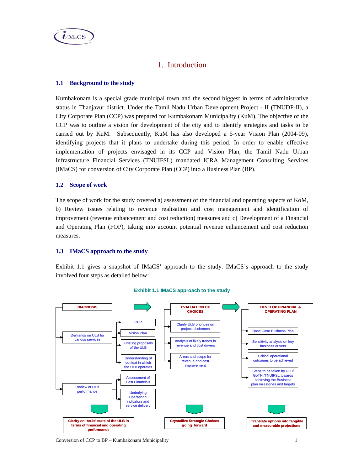

# 1. Introduction

# **1.1 Background to the study**

Kumbakonam is a special grade municipal town and the second biggest in terms of administrative status in Thanjavur district. Under the Tamil Nadu Urban Development Project - II (TNUDP-II), a City Corporate Plan (CCP) was prepared for Kumbakonam Municipality (KuM). The objective of the CCP was to outline a vision for development of the city and to identify strategies and tasks to be carried out by KuM. Subsequently, KuM has also developed a 5-year Vision Plan (2004-09), identifying projects that it plans to undertake during this period. In order to enable effective implementation of projects envisaged in its CCP and Vision Plan, the Tamil Nadu Urban Infrastructure Financial Services (TNUIFSL) mandated ICRA Management Consulting Services (IMaCS) for conversion of City Corporate Plan (CCP) into a Business Plan (BP).

#### **1.2 Scope of work**

The scope of work for the study covered a) assessment of the financial and operating aspects of KoM, b) Review issues relating to revenue realisation and cost management and identification of improvement (revenue enhancement and cost reduction) measures and c) Development of a Financial and Operating Plan (FOP), taking into account potential revenue enhancement and cost reduction measures.

#### **1.3 IMaCS approach to the study**

Exhibit 1.1 gives a snapshot of IMaCS' approach to the study. IMaCS's approach to the study involved four steps as detailed below:



#### **Exhibit 1.1 IMaCS approach to the study**

Conversion of CCP to BP – Kumbakonam Municipality 1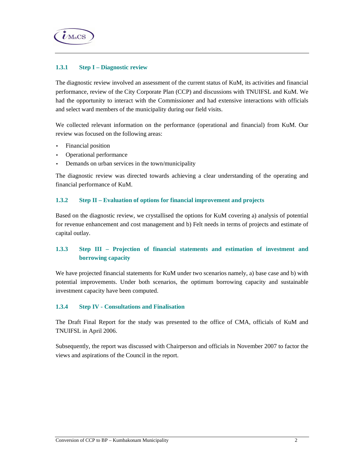

#### **1.3.1 Step I – Diagnostic review**

The diagnostic review involved an assessment of the current status of KuM, its activities and financial performance, review of the City Corporate Plan (CCP) and discussions with TNUIFSL and KuM. We had the opportunity to interact with the Commissioner and had extensive interactions with officials and select ward members of the municipality during our field visits.

We collected relevant information on the performance (operational and financial) from KuM. Our review was focused on the following areas:

- Financial position
- Operational performance
- Demands on urban services in the town/municipality

The diagnostic review was directed towards achieving a clear understanding of the operating and financial performance of KuM.

### **1.3.2 Step II – Evaluation of options for financial improvement and projects**

Based on the diagnostic review, we crystallised the options for KuM covering a) analysis of potential for revenue enhancement and cost management and b) Felt needs in terms of projects and estimate of capital outlay.

# **1.3.3 Step III – Projection of financial statements and estimation of investment and borrowing capacity**

We have projected financial statements for KuM under two scenarios namely, a) base case and b) with potential improvements. Under both scenarios, the optimum borrowing capacity and sustainable investment capacity have been computed.

#### **1.3.4 Step IV - Consultations and Finalisation**

The Draft Final Report for the study was presented to the office of CMA, officials of KuM and TNUIFSL in April 2006.

Subsequently, the report was discussed with Chairperson and officials in November 2007 to factor the views and aspirations of the Council in the report.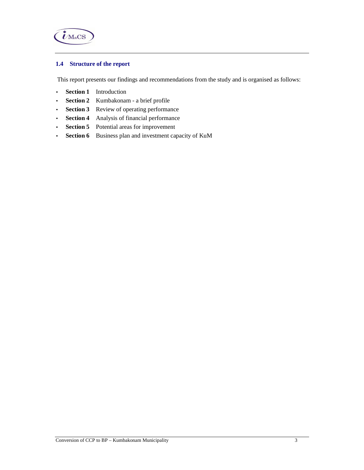

# **1.4 Structure of the report**

This report presents our findings and recommendations from the study and is organised as follows:

- **Section 1** Introduction
- **Section 2** Kumbakonam a brief profile
- **Section 3** Review of operating performance
- **Section 4** Analysis of financial performance
- **Section 5** Potential areas for improvement
- **Section 6** Business plan and investment capacity of KuM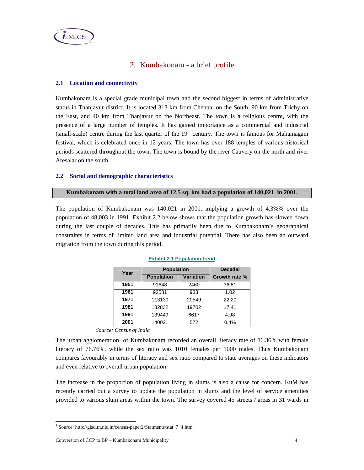

# 2. Kumbakonam - a brief profile

## **2.1 Location and connectivity**

Kumbakonam is a special grade municipal town and the second biggest in terms of administrative status in Thanjavur district. It is located 313 km from Chennai on the South, 90 km from Trichy on the East, and 40 km from Thanjavur on the Northeast. The town is a religious centre, with the presence of a large number of temples. It has gained importance as a commercial and industrial (small-scale) centre during the last quarter of the  $19<sup>th</sup>$  century. The town is famous for Mahamagam festival, which is celebrated once in 12 years. The town has over 188 temples of various historical periods scattered throughout the town. The town is bound by the river Cauvery on the north and river Aresalar on the south.

#### **2.2 Social and demographic characteristics**

#### **Kumbakonam with a total land area of 12.5 sq. km had a population of 140,021 in 2001.**

The population of Kumbakonam was 140,021 in 2001, implying a growth of 4.3%% over the population of 48,003 in 1991. Exhibit 2.2 below shows that the population growth has slowed down during the last couple of decades. This has primarily been due to Kumbakonam's geographical constraints in terms of limited land area and industrial potential. There has also been an outward migration from the town during this period.

| Year | <b>Population</b> | <b>Decadal</b>   |               |
|------|-------------------|------------------|---------------|
|      | <b>Population</b> | <b>Variation</b> | Growth rate % |
| 1951 | 91648             | 2460             | 36.81         |
| 1961 | 92581             | 933              | 1.02          |
| 1971 | 113130            | 20549            | 22.20         |
| 1981 | 132832            | 19702            | 17.41         |
| 1991 | 139449            | 6617             | 4.98          |
| 2001 | 140021            | 572              | 0.4%          |

#### **Exhibit 2.1 Population trend**

*Source: Census of India* 

The urban agglomeration<sup>1</sup> of Kumbakonam recorded an overall literacy rate of 86.36% with female literacy of 76.76%, while the sex ratio was 1010 females per 1000 males. Thus Kumbakonam compares favourably in terms of literacy and sex ratio compared to state averages on these indicators and even relative to overall urban population.

The increase in the proportion of population living in slums is also a cause for concern. KuM has recently carried out a survey to update the population in slums and the level of service amenities provided to various slum areas within the town. The survey covered 45 streets / areas in 31 wards in

 $\overline{a}$ 

<sup>1</sup> Source: http://gisd.tn.nic.in/census-paper2/Statments/stat\_7\_4.htm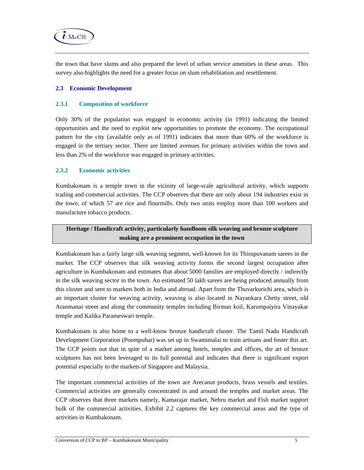

the town that have slums and also prepared the level of urban service amenities in these areas. This survey also highlights the need for a greater focus on slum rehabilitation and resettlement.

### **2.3 Economic Development**

#### **2.3.1 Composition of workforce**

Only 30% of the population was engaged in economic activity (in 1991) indicating the limited opportunities and the need to exploit new opportunities to promote the economy. The occupational pattern for the city (available only as of 1991) indicates that more than 60% of the workforce is engaged in the tertiary sector. There are limited avenues for primary activities within the town and less than 2% of the workforce was engaged in primary activities.

## **2.3.2 Economic activities**

Kumbakonam is a temple town in the vicinity of large-scale agricultural activity, which supports trading and commercial activities. The CCP observes that there are only about 194 industries exist in the town, of which 57 are rice and flourmills. Only two units employ more than 100 workers and manufacture tobacco products.

# **Heritage / Handicraft activity, particularly handloom silk weaving and bronze sculpture making are a prominent occupation in the town**

Kumbakonam has a fairly large silk weaving segment, well-known for its Thirupuvanam sarees in the market. The CCP observes that silk weaving activity forms the second largest occupation after agriculture in Kumbakonam and estimates that about 5000 families are employed directly / indirectly in the silk weaving sector in the town. An estimated 50 lakh sarees are being produced annually from this cluster and sent to markets both in India and abroad. Apart from the Thuvarkurichi area, which is an important cluster for weaving activity, weaving is also located in Nayankara Chetty street, old Aranmanai street and along the community temples including Birman koil, Karumpaiyira Vinayakar temple and Kalika Parameswari temple.

Kumbakonam is also home to a well-know bronze handicraft cluster. The Tamil Nadu Handicraft Development Corporation (Poompuhar) was set up in Swamimalai to train artisans and foster this art. The CCP points out that in spite of a market among hotels, temples and offices, the art of bronze sculptures has not been leveraged to its full potential and indicates that there is significant export potential especially to the markets of Singapore and Malaysia.

The important commercial activities of the town are Arecanut products, brass vessels and textiles. Commercial activities are generally concentrated in and around the temples and market areas. The CCP observes that three markets namely, Kamarajar market, Nehru market and Fish market support bulk of the commercial activities. Exhibit 2.2 captures the key commercial areas and the type of activities in Kumbakonam.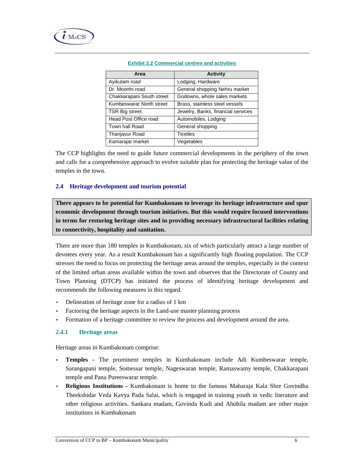| Area                      | <b>Activity</b>                    |
|---------------------------|------------------------------------|
| Ayikulam road             | Lodging, Hardware                  |
| Dr. Moorthi road          | General shopping Nehru market      |
| Chakkarapani South street | Godowns, whole sales markets       |
| Kumbeswarar North street  | Brass, stainless steel vessels     |
| <b>TSR Big street</b>     | Jewelry, Banks, financial services |
| Head Post Office road     | Automobiles, Lodging               |
| Town hall Road            | General shopping                   |
| Thanjavur Road            | <b>Textiles</b>                    |
| Kamarajar market          | Vegetables                         |

#### **Exhibit 2.2 Commercial centres and activities**

The CCP highlights the need to guide future commercial developments in the periphery of the town and calls for a comprehensive approach to evolve suitable plan for protecting the heritage value of the temples in the town.

# **2.4 Heritage development and tourism potential**

**There appears to be potential for Kumbakonam to leverage its heritage infrastructure and spur economic development through tourism initiatives. But this would require focused interventions in terms for restoring heritage sites and in providing necessary infrastructural facilities relating to connectivity, hospitality and sanitation.** 

There are more than 180 temples in Kumbakonam, six of which particularly attract a large number of devotees every year. As a result Kumbakonam has a significantly high floating population. The CCP stresses the need to focus on protecting the heritage areas around the temples, especially in the context of the limited urban areas available within the town and observes that the Directorate of County and Town Planning (DTCP) has initiated the process of identifying heritage development and recommends the following measures in this regard.

- Delineation of heritage zone for a radius of 1 km
- Factoring the heritage aspects in the Land-use master planning process
- Formation of a heritage committee to review the process and development around the area.

#### **2.4.1 Heritage areas**

Heritage areas in Kumbakonam comprise:

- **Temples** The prominent temples in Kumbakonam include Adi Kumbeswarar temple, Sarangapani temple, Somessar temple, Nageswaran temple, Ramaswamy temple, Chakkarapani temple and Pana Pureeswarar temple.
- **Religious Institutions** Kumbakonam is home to the famous Maharaja Kala Shre Govindha Theekshidar Veda Kavya Pada Salai, which is engaged in training youth in vedic literature and other religious activities. Sankara madam, Govinda Kudi and Ahobila madam are other major institutions in Kumbakonam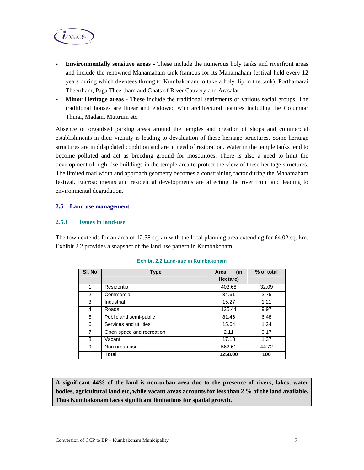

- **Environmentally sensitive areas** These include the numerous holy tanks and riverfront areas and include the renowned Mahamaham tank (famous for its Mahamaham festival held every 12 years during which devotees throng to Kumbakonam to take a holy dip in the tank), Porthamarai Theertham, Paga Theertham and Ghats of River Cauvery and Arasalar
- **Minor Heritage areas** These include the traditional settlements of various social groups. The traditional houses are linear and endowed with architectural features including the Columnar Thinai, Madam, Muttrum etc.

Absence of organised parking areas around the temples and creation of shops and commercial establishments in their vicinity is leading to devaluation of these heritage structures. Some heritage structures are in dilapidated condition and are in need of restoration. Water in the temple tanks tend to become polluted and act as breeding ground for mosquitoes. There is also a need to limit the development of high rise buildings in the temple area to protect the view of these heritage structures. The limited road width and approach geometry becomes a constraining factor during the Mahamaham festival. Encroachments and residential developments are affecting the river front and leading to environmental degradation.

#### **2.5 Land use management**

#### **2.5.1 Issues in land-use**

The town extends for an area of 12.58 sq.km with the local planning area extending for 64.02 sq. km. Exhibit 2.2 provides a snapshot of the land use pattern in Kumbakonam.

| SI. No | <b>Type</b>               | (in<br>Area | % of total |
|--------|---------------------------|-------------|------------|
|        |                           | Hectare)    |            |
| 1      | Residential               | 403.68      | 32.09      |
| 2      | Commercial                | 34.61       | 2.75       |
| 3      | Industrial                | 15.27       | 1.21       |
| 4      | Roads                     | 125.44      | 9.97       |
| 5      | Public and semi-public    | 81.46       | 6.48       |
| 6      | Services and utilities    | 15.64       | 1.24       |
| 7      | Open space and recreation | 2.11        | 0.17       |
| 8      | Vacant                    | 17.18       | 1.37       |
| 9      | Non urban use             | 562.61      | 44.72      |
|        | Total                     | 1258.00     | 100        |

#### **Exhibit 2.2 Land-use in Kumbakonam**

**A significant 44% of the land is non-urban area due to the presence of rivers, lakes, water bodies, agricultural land etc, while vacant areas accounts for less than 2 % of the land available. Thus Kumbakonam faces significant limitations for spatial growth.**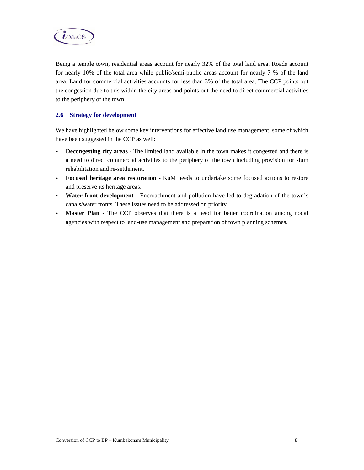

Being a temple town, residential areas account for nearly 32% of the total land area. Roads account for nearly 10% of the total area while public/semi-public areas account for nearly 7 % of the land area. Land for commercial activities accounts for less than 3% of the total area. The CCP points out the congestion due to this within the city areas and points out the need to direct commercial activities to the periphery of the town.

## **2.6 Strategy for development**

We have highlighted below some key interventions for effective land use management, some of which have been suggested in the CCP as well:

- **Decongesting city areas**  The limited land available in the town makes it congested and there is a need to direct commercial activities to the periphery of the town including provision for slum rehabilitation and re-settlement.
- **Focused heritage area restoration** KuM needs to undertake some focused actions to restore and preserve its heritage areas.
- **Water front development -** Encroachment and pollution have led to degradation of the town's canals/water fronts. These issues need to be addressed on priority.
- Master Plan The CCP observes that there is a need for better coordination among nodal agencies with respect to land-use management and preparation of town planning schemes.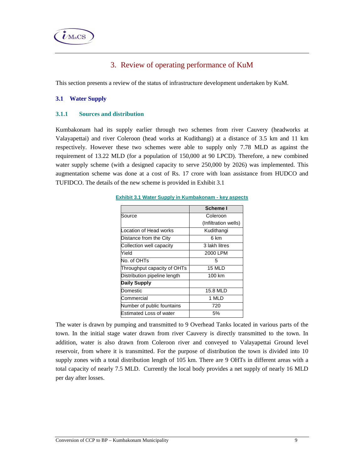

# 3. Review of operating performance of KuM

This section presents a review of the status of infrastructure development undertaken by KuM.

# **3.1 Water Supply**

## **3.1.1 Sources and distribution**

Kumbakonam had its supply earlier through two schemes from river Cauvery (headworks at Valayapettai) and river Coleroon (head works at Kudithangi) at a distance of 3.5 km and 11 km respectively. However these two schemes were able to supply only 7.78 MLD as against the requirement of 13.22 MLD (for a population of 150,000 at 90 LPCD). Therefore, a new combined water supply scheme (with a designed capacity to serve 250,000 by 2026) was implemented. This augmentation scheme was done at a cost of Rs. 17 crore with loan assistance from HUDCO and TUFIDCO. The details of the new scheme is provided in Exhibit 3.1

#### **Exhibit 3.1 Water Supply in Kumbakonam - key aspects**

|                                | Scheme I             |
|--------------------------------|----------------------|
| Source                         | Coleroon             |
|                                | (Infiltration wells) |
| Location of Head works         | Kudithangi           |
| Distance from the City         | 6 km                 |
| Collection well capacity       | 3 lakh litres        |
| Yield                          | 2000 LPM             |
| No. of OHTs                    | 5                    |
| Throughput capacity of OHTs    | 15 MLD               |
| Distribution pipeline length   | 100 km               |
| <b>Daily Supply</b>            |                      |
| Domestic                       | 15.8 MLD             |
| Commercial                     | 1 MLD                |
| Number of public fountains     | 720                  |
| <b>Estimated Loss of water</b> | 5%                   |

The water is drawn by pumping and transmitted to 9 Overhead Tanks located in various parts of the town. In the initial stage water drawn from river Cauvery is directly transmitted to the town. In addition, water is also drawn from Coleroon river and conveyed to Valayapettai Ground level reservoir, from where it is transmitted. For the purpose of distribution the town is divided into 10 supply zones with a total distribution length of 105 km. There are 9 OHTs in different areas with a total capacity of nearly 7.5 MLD. Currently the local body provides a net supply of nearly 16 MLD per day after losses.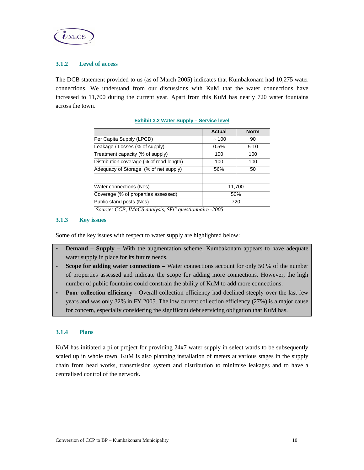

## **3.1.2 Level of access**

The DCB statement provided to us (as of March 2005) indicates that Kumbakonam had 10,275 water connections. We understand from our discussions with KuM that the water connections have increased to 11,700 during the current year. Apart from this KuM has nearly 720 water fountains across the town.

|                                          | Actual | <b>Norm</b> |
|------------------------------------------|--------|-------------|
| Per Capita Supply (LPCD)                 | ~100   | 90          |
| Leakage / Losses (% of supply)           | 0.5%   | $5 - 10$    |
| Treatment capacity (% of supply)         | 100    | 100         |
| Distribution coverage (% of road length) | 100    | 100         |
| Adequacy of Storage (% of net supply)    | 56%    | 50          |
|                                          |        |             |
| Water connections (Nos)                  |        | 11,700      |
| Coverage (% of properties assessed)      | 50%    |             |
| Public stand posts (Nos)<br>720          |        |             |

#### **Exhibit 3.2 Water Supply – Service level**

 *Source: CCP, IMaCS analysis, SFC questionnaire -2005* 

### **3.1.3 Key issues**

Some of the key issues with respect to water supply are highlighted below:

- **Demand Supply With the augmentation scheme, Kumbakonam appears to have adequate** water supply in place for its future needs.
- **Scope for adding water connections –** Water connections account for only 50 % of the number of properties assessed and indicate the scope for adding more connections. However, the high number of public fountains could constrain the ability of KuM to add more connections.
- **Poor collection efficiency -** Overall collection efficiency had declined steeply over the last few years and was only 32% in FY 2005. The low current collection efficiency (27%) is a major cause for concern, especially considering the significant debt servicing obligation that KuM has.

#### **3.1.4 Plans**

KuM has initiated a pilot project for providing 24x7 water supply in select wards to be subsequently scaled up in whole town. KuM is also planning installation of meters at various stages in the supply chain from head works, transmission system and distribution to minimise leakages and to have a centralised control of the network.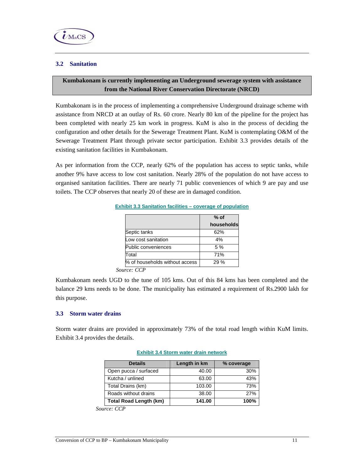## **3.2 Sanitation**

# **Kumbakonam is currently implementing an Underground sewerage system with assistance from the National River Conservation Directorate (NRCD)**

Kumbakonam is in the process of implementing a comprehensive Underground drainage scheme with assistance from NRCD at an outlay of Rs. 60 crore. Nearly 80 km of the pipeline for the project has been completed with nearly 25 km work in progress. KuM is also in the process of deciding the configuration and other details for the Sewerage Treatment Plant. KuM is contemplating O&M of the Sewerage Treatment Plant through private sector participation. Exhibit 3.3 provides details of the existing sanitation facilities in Kumbakonam.

As per information from the CCP, nearly 62% of the population has access to septic tanks, while another 9% have access to low cost sanitation. Nearly 28% of the population do not have access to organised sanitation facilities. There are nearly 71 public conveniences of which 9 are pay and use toilets. The CCP observes that nearly 20 of these are in damaged condition.

# **Exhibit 3.3 Sanitation facilities – coverage of population**

|                                | $%$ of     |
|--------------------------------|------------|
|                                | households |
| Septic tanks                   | 62%        |
| Low cost sanitation            | 4%         |
| Public conveniences            | 5%         |
| Total                          | 71%        |
| % of households without access | 29%        |
|                                |            |

*Source: CCP* 

Kumbakonam needs UGD to the tune of 105 kms. Out of this 84 kms has been completed and the balance 29 kms needs to be done. The municipality has estimated a requirement of Rs.2900 lakh for this purpose.

#### **3.3 Storm water drains**

Storm water drains are provided in approximately 73% of the total road length within KuM limits. Exhibit 3.4 provides the details.

| <b>Details</b>                | Length in km | % coverage |
|-------------------------------|--------------|------------|
| Open pucca / surfaced         | 40.00        | 30%        |
| Kutcha / unlined              | 63.00        | 43%        |
| Total Drains (km)             | 103.00       | 73%        |
| Roads without drains          | 38.00        | 27%        |
| <b>Total Road Length (km)</b> | 141.00       | 100%       |

#### **Exhibit 3.4 Storm water drain network**

*Source: CCP*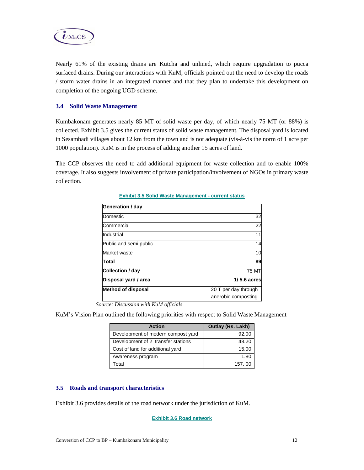

Nearly 61% of the existing drains are Kutcha and unlined, which require upgradation to pucca surfaced drains. During our interactions with KuM, officials pointed out the need to develop the roads / storm water drains in an integrated manner and that they plan to undertake this development on completion of the ongoing UGD scheme.

### **3.4 Solid Waste Management**

Kumbakonam generates nearly 85 MT of solid waste per day, of which nearly 75 MT (or 88%) is collected. Exhibit 3.5 gives the current status of solid waste management. The disposal yard is located in Sesambadi villages about 12 km from the town and is not adequate (vis-à-vis the norm of 1 acre per 1000 population). KuM is in the process of adding another 15 acres of land.

The CCP observes the need to add additional equipment for waste collection and to enable 100% coverage. It also suggests involvement of private participation/involvement of NGOs in primary waste collection.

| Generation / day          |                                             |
|---------------------------|---------------------------------------------|
| Domestic                  | 32                                          |
| Commercial                | 22                                          |
| Industrial                | 11                                          |
| Public and semi public    | 14                                          |
| Market waste              | 10                                          |
| Total                     | 89                                          |
| Collection / day          | <b>75 MT</b>                                |
| Disposal yard / area      | $1/5.6$ acres                               |
| <b>Method of disposal</b> | 20 T per day through<br>anerobic composting |

#### **Exhibit 3.5 Solid Waste Management - current status**

 *Source: Discussion with KuM officials* 

KuM's Vision Plan outlined the following priorities with respect to Solid Waste Management

| <b>Action</b>                      | <b>Outlay (Rs. Lakh)</b> |
|------------------------------------|--------------------------|
| Development of modern compost yard | 92.00                    |
| Development of 2 transfer stations | 48.20                    |
| Cost of land for additional yard   | 15.00                    |
| Awareness program                  | 1.80                     |
| Total                              | 157.00                   |

#### **3.5 Roads and transport characteristics**

Exhibit 3.6 provides details of the road network under the jurisdiction of KuM.

**Exhibit 3.6 Road network**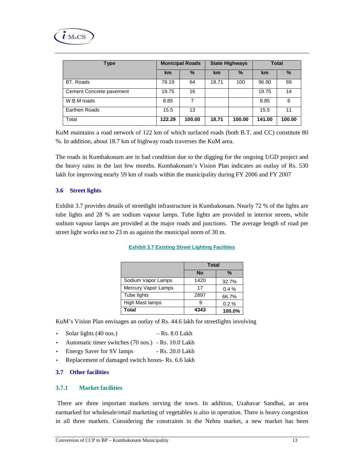

| Type                     | <b>Municipal Roads</b> |        | <b>State Highways</b> |        | <b>Total</b> |        |
|--------------------------|------------------------|--------|-----------------------|--------|--------------|--------|
|                          | km                     | $\%$   | <b>km</b>             | $\%$   | km           | $\%$   |
| BT. Roads                | 78.19                  | 64     | 18.71                 | 100    | 96.90        | 69     |
| Cement Concrete pavement | 19.75                  | 16     |                       |        | 19.75        | 14     |
| W.B.M roads              | 8.85                   | 7      |                       |        | 8.85         | 6      |
| Earthen Roads            | 15.5                   | 13     |                       |        | 15.5         | 11     |
| Total                    | 122.29                 | 100.00 | 18.71                 | 100.00 | 141.00       | 100.00 |

KuM maintains a road network of 122 km of which surfaced roads (both B.T. and CC) constitute 80 %. In addition, about 18.7 km of highway roads traverses the KuM area.

The roads in Kumbakonam are in bad condition due to the digging for the ongoing UGD project and the heavy rains in the last few months. Kumbakonam's Vision Plan indicates an outlay of Rs. 530 lakh for improving nearly 59 km of roads within the municipality during FY 2006 and FY 2007

### **3.6 Street lights**

Exhibit 3.7 provides details of streetlight infrastructure in Kumbakonam. Nearly 72 % of the lights are tube lights and 28 % are sodium vapour lamps. Tube lights are provided in interior streets, while sodium vapour lamps are provided at the major roads and junctions. The average length of road per street light works out to 23 m as against the municipal norm of 30 m.

|                     | <b>Total</b> |               |
|---------------------|--------------|---------------|
|                     | <b>No</b>    | $\frac{9}{6}$ |
| Sodium Vapor Lamps  | 1420         | 32.7%         |
| Mercury Vapor Lamps | 17           | 0.4%          |
| Tube lights         | 2897         | 66.7%         |
| High Mast lamps     | g            | 0.2%          |
| Total               | 4343         | 100.0%        |

#### **Exhibit 3.7 Existing Street Lighting Facilities**

KuM's Vision Plan envisages an outlay of Rs. 44.6 lakh for streetlights involving

- Solar lights  $(40 \text{ nos.})$  Rs.  $8.0 \text{ Lakh}$
- Automatic timer switches (70 nos.) Rs. 10.0 Lakh
- Energy Saver for SV lamps Rs. 20.0 Lakh
- Replacement of damaged switch boxes- Rs. 6.6 lakh

## **3.7 Other facilities**

#### **3.7.1 Market facilities**

 There are three important markets serving the town. In addition, Uzahavar Sandhai, an area earmarked for wholesale/retail marketing of vegetables is also in operation. There is heavy congestion in all three markets. Considering the constraints in the Nehru market, a new market has been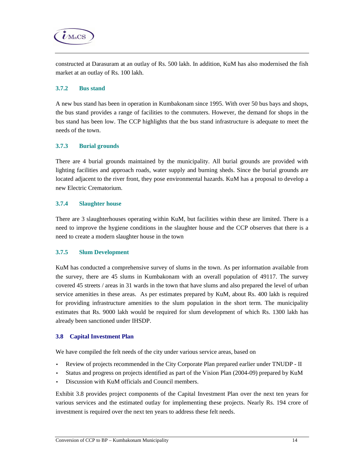

#### **3.7.2 Bus stand**

 $\boldsymbol{\dot{\ell}}$ MaCS

A new bus stand has been in operation in Kumbakonam since 1995. With over 50 bus bays and shops, the bus stand provides a range of facilities to the commuters. However, the demand for shops in the bus stand has been low. The CCP highlights that the bus stand infrastructure is adequate to meet the needs of the town.

### **3.7.3 Burial grounds**

There are 4 burial grounds maintained by the municipality. All burial grounds are provided with lighting facilities and approach roads, water supply and burning sheds. Since the burial grounds are located adjacent to the river front, they pose environmental hazards. KuM has a proposal to develop a new Electric Crematorium.

#### **3.7.4 Slaughter house**

There are 3 slaughterhouses operating within KuM, but facilities within these are limited. There is a need to improve the hygiene conditions in the slaughter house and the CCP observes that there is a need to create a modern slaughter house in the town

# **3.7.5 Slum Development**

KuM has conducted a comprehensive survey of slums in the town. As per information available from the survey, there are 45 slums in Kumbakonam with an overall population of 49117. The survey covered 45 streets / areas in 31 wards in the town that have slums and also prepared the level of urban service amenities in these areas. As per estimates prepared by KuM, about Rs. 400 lakh is required for providing infrastructure amenities to the slum population in the short term. The municipality estimates that Rs. 9000 lakh would be required for slum development of which Rs. 1300 lakh has already been sanctioned under IHSDP.

#### **3.8 Capital Investment Plan**

We have compiled the felt needs of the city under various service areas, based on

- Review of projects recommended in the City Corporate Plan prepared earlier under TNUDP II
- Status and progress on projects identified as part of the Vision Plan (2004-09) prepared by KuM
- Discussion with KuM officials and Council members.

Exhibit 3.8 provides project components of the Capital Investment Plan over the next ten years for various services and the estimated outlay for implementing these projects. Nearly Rs. 194 crore of investment is required over the next ten years to address these felt needs.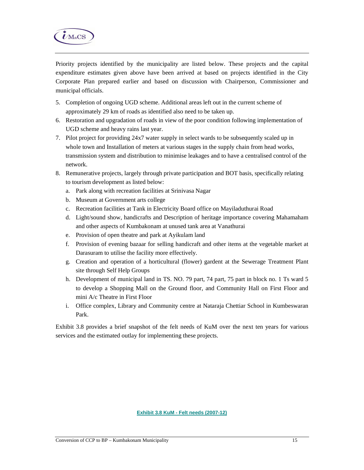

Priority projects identified by the municipality are listed below. These projects and the capital expenditure estimates given above have been arrived at based on projects identified in the City Corporate Plan prepared earlier and based on discussion with Chairperson, Commissioner and municipal officials.

- 5. Completion of ongoing UGD scheme. Additional areas left out in the current scheme of approximately 29 km of roads as identified also need to be taken up.
- 6. Restoration and upgradation of roads in view of the poor condition following implementation of UGD scheme and heavy rains last year.
- 7. Pilot project for providing 24x7 water supply in select wards to be subsequently scaled up in whole town and Installation of meters at various stages in the supply chain from head works, transmission system and distribution to minimise leakages and to have a centralised control of the network.
- 8. Remunerative projects, largely through private participation and BOT basis, specifically relating to tourism development as listed below:
	- a. Park along with recreation facilities at Srinivasa Nagar
	- b. Museum at Government arts college
	- c. Recreation facilities at Tank in Electricity Board office on Mayiladuthurai Road
	- d. Light/sound show, handicrafts and Description of heritage importance covering Mahamaham and other aspects of Kumbakonam at unused tank area at Vanathurai
	- e. Provision of open theatre and park at Ayikulam land
	- f. Provision of evening bazaar for selling handicraft and other items at the vegetable market at Darasuram to utilise the facility more effectively.
	- g. Creation and operation of a horticultural (flower) gardent at the Sewerage Treatment Plant site through Self Help Groups
	- h. Development of municipal land in TS. NO. 79 part, 74 part, 75 part in block no. 1 Ts ward 5 to develop a Shopping Mall on the Ground floor, and Community Hall on First Floor and mini A/c Theatre in First Floor
	- i. Office complex, Library and Community centre at Nataraja Chettiar School in Kumbeswaran Park.

Exhibit 3.8 provides a brief snapshot of the felt needs of KuM over the next ten years for various services and the estimated outlay for implementing these projects.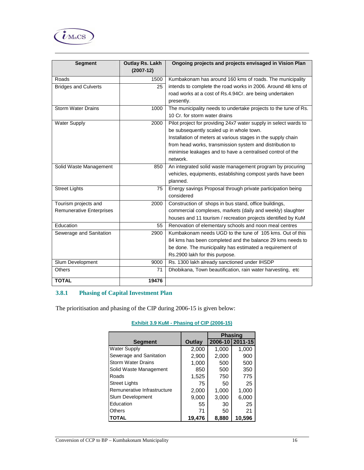

| <b>Segment</b>                  | <b>Outlay Rs. Lakh</b><br>$(2007-12)$ | Ongoing projects and projects envisaged in Vision Plan           |
|---------------------------------|---------------------------------------|------------------------------------------------------------------|
| Roads                           | 1500                                  | Kumbakonam has around 160 kms of roads. The municipality         |
| <b>Bridges and Culverts</b>     | 25                                    | intends to complete the road works in 2006. Around 48 kms of     |
|                                 |                                       | road works at a cost of Rs.4.94Cr. are being undertaken          |
|                                 |                                       | presently.                                                       |
| <b>Storm Water Drains</b>       | 1000                                  | The municipality needs to undertake projects to the tune of Rs.  |
|                                 |                                       | 10 Cr. for storm water drains                                    |
| <b>Water Supply</b>             | 2000                                  | Pilot project for providing 24x7 water supply in select wards to |
|                                 |                                       | be subsequently scaled up in whole town.                         |
|                                 |                                       | Installation of meters at various stages in the supply chain     |
|                                 |                                       | from head works, transmission system and distribution to         |
|                                 |                                       | minimise leakages and to have a centralised control of the       |
|                                 |                                       | network.                                                         |
| Solid Waste Management          | 850                                   | An integrated solid waste management program by procuring        |
|                                 |                                       | vehicles, equipments, establishing compost yards have been       |
|                                 |                                       | planned.                                                         |
| <b>Street Lights</b>            | 75                                    | Energy savings Proposal through private participation being      |
|                                 |                                       | considered                                                       |
| Tourism projects and            | 2000                                  | Construction of shops in bus stand, office buildings,            |
| <b>Remunerative Enterprises</b> |                                       | commercial complexes, markets (daily and weekly) slaughter       |
|                                 |                                       | houses and 11 tourism / recreation projects identified by KuM    |
| Education                       | 55                                    | Renovation of elementary schools and noon meal centres           |
| Sewerage and Sanitation         | 2900                                  | Kumbakonam needs UGD to the tune of 105 kms. Out of this         |
|                                 |                                       | 84 kms has been completed and the balance 29 kms needs to        |
|                                 |                                       | be done. The municipality has estimated a requirement of         |
|                                 |                                       | Rs.2900 lakh for this purpose.                                   |
| Slum Development                | 9000                                  | Rs. 1300 lakh already sanctioned under IHSDP                     |
| <b>Others</b>                   | 71                                    | Dhobikana, Town beautification, rain water harvesting, etc       |
| <b>TOTAL</b>                    | 19476                                 |                                                                  |

# **3.8.1 Phasing of Capital Investment Plan**

The prioritisation and phasing of the CIP during 2006-15 is given below:

|                |        |                 | <b>Phasing</b> |
|----------------|--------|-----------------|----------------|
| <b>Segment</b> | Outlay | 2006-10 2011-15 |                |
| Supply         | 2.000  | 1.000           | 1,000          |
|                |        |                 |                |

**Exhibit 3.9 KuM - Phasing of CIP (2006-15)** 

| segment                     | Outlav |       | 2006-1012011-15 |
|-----------------------------|--------|-------|-----------------|
| <b>Water Supply</b>         | 2,000  | 1,000 | 1,000           |
| Sewerage and Sanitation     | 2,900  | 2,000 | 900             |
| <b>Storm Water Drains</b>   | 1,000  | 500   | 500             |
| Solid Waste Management      | 850    | 500   | 350             |
| Roads                       | 1,525  | 750   | 775             |
| <b>Street Lights</b>        | 75     | 50    | 25              |
| Remunerative Infrastructure | 2,000  | 1,000 | 1,000           |
| Slum Development            | 9,000  | 3,000 | 6,000           |
| Education                   | 55     | 30    | 25              |
| <b>Others</b>               | 71     | 50    | 21              |
| <b>TOTAL</b>                | 19.476 | 8.880 | 10.596          |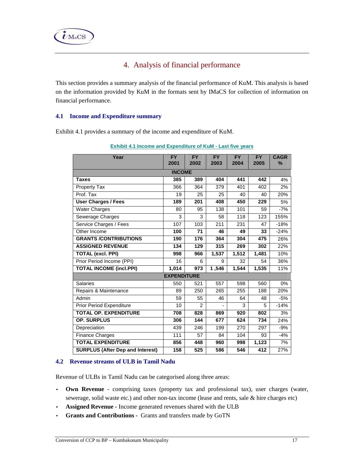# 4. Analysis of financial performance

This section provides a summary analysis of the financial performance of KuM. This analysis is based on the information provided by KuM in the formats sent by IMaCS for collection of information on financial performance.

## **4.1 Income and Expenditure summary**

Exhibit 4.1 provides a summary of the income and expenditure of KuM.

| Year                                    | <b>FY</b><br>2001  | <b>FY</b><br>2002 | <b>FY</b><br>2003 | <b>FY</b><br>2004 | <b>FY</b><br>2005 | <b>CAGR</b><br>$\%$ |
|-----------------------------------------|--------------------|-------------------|-------------------|-------------------|-------------------|---------------------|
|                                         | <b>INCOME</b>      |                   |                   |                   |                   |                     |
| <b>Taxes</b>                            | 385                | 389               | 404               | 441               | 442               | 4%                  |
| <b>Property Tax</b>                     | 366                | 364               | 379               | 401               | 402               | 2%                  |
| Prof. Tax                               | 19                 | 25                | 25                | 40                | 40                | 20%                 |
| <b>User Charges / Fees</b>              | 189                | 201               | 408               | 450               | 229               | 5%                  |
| <b>Water Charges</b>                    | 80                 | 95                | 138               | 101               | 59                | $-7%$               |
| Sewerage Charges                        | 3                  | 3                 | 58                | 118               | 123               | 155%                |
| Service Charges / Fees                  | 107                | 103               | $\overline{211}$  | 231               | 47                | $-18%$              |
| Other Income                            | 100                | 71                | 46                | 49                | 33                | $-24%$              |
| <b>GRANTS /CONTRIBUTIONS</b>            | 190                | 176               | 364               | 304               | 475               | 26%                 |
| <b>ASSIGNED REVENUE</b>                 | 134                | 129               | 315               | 269               | 302               | 22%                 |
| <b>TOTAL (excl. PPI)</b>                | 998                | 966               | 1,537             | 1,512             | 1,481             | 10%                 |
| Prior Period Income (PPI)               | 16                 | 6                 | 9                 | 32                | 54                | 36%                 |
| <b>TOTAL INCOME (incl.PPI)</b>          | 1,014              | 973               | 1,546             | 1,544             | 1,535             | 11%                 |
|                                         | <b>EXPENDITURE</b> |                   |                   |                   |                   |                     |
| <b>Salaries</b>                         | 550                | 521               | 557               | 598               | 560               | $0\%$               |
| Repairs & Maintenance                   | 89                 | 250               | 265               | 255               | 188               | 20%                 |
| Admin                                   | 59                 | 55                | 46                | 64                | 48                | $-5%$               |
| <b>Prior Period Expenditure</b>         | 10                 | $\overline{2}$    |                   | 3                 | 5                 | $-14%$              |
| <b>TOTAL OP. EXPENDITURE</b>            | 708                | 828               | 869               | 920               | 802               | 3%                  |
| <b>OP. SURPLUS</b>                      | 306                | 144               | 677               | 624               | 734               | 24%                 |
| Depreciation                            | 439                | 246               | 199               | 270               | 297               | $-9%$               |
| <b>Finance Charges</b>                  | 111                | 57                | 84                | 104               | 93                | $-4%$               |
| <b>TOTAL EXPENDITURE</b>                | 856                | 448               | 960               | 998               | 1,123             | 7%                  |
| <b>SURPLUS (After Dep and Interest)</b> | 158                | 525               | 586               | 546               | 412               | 27%                 |

| <b>Exhibit 4.1 Income and Expenditure of KuM - Last five years</b> |
|--------------------------------------------------------------------|
|--------------------------------------------------------------------|

# **4.2 Revenue streams of ULB in Tamil Nadu**

Revenue of ULBs in Tamil Nadu can be categorised along three areas:

- **Own Revenue**  comprising taxes (property tax and professional tax), user charges (water, sewerage, solid waste etc.) and other non-tax income (lease and rents, sale & hire charges etc)
- **Assigned Revenue** Income generated revenues shared with the ULB
- **Grants and Contributions** Grants and transfers made by GoTN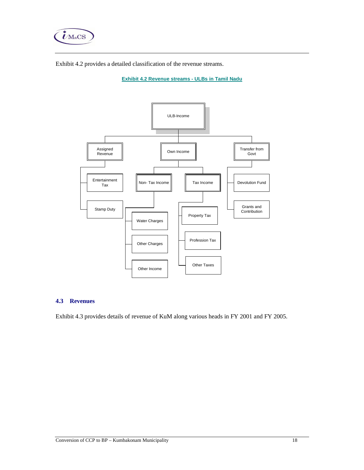

Exhibit 4.2 provides a detailed classification of the revenue streams.

**Exhibit 4.2 Revenue streams - ULBs in Tamil Nadu**



#### **4.3 Revenues**

Exhibit 4.3 provides details of revenue of KuM along various heads in FY 2001 and FY 2005.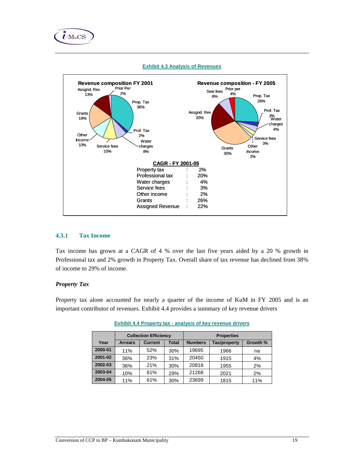





## **4.3.1 Tax Income**

Tax income has grown at a CAGR of 4 % over the last five years aided by a 20 % growth in Professional tax and 2% growth in Property Tax. Overall share of tax revenue has declined from 38% of income to 29% of income.

#### *Property Tax*

Property tax alone accounted for nearly a quarter of the income of KuM in FY 2005 and is an important contributor of revenues. Exhibit 4.4 provides a summary of key revenue drivers

|         |                | <b>Collection Efficiency</b> |       | <b>Properties</b> |          |     |
|---------|----------------|------------------------------|-------|-------------------|----------|-----|
| Year    | <b>Arrears</b> | <b>Current</b>               | Total | <b>Numbers</b>    | Growth % |     |
| 2000-01 | 11%            | 52%                          | 30%   | 19695             | 1966     | na  |
| 2001-02 | 36%            | 23%                          | 31%   | 20450             | 1915     | 4%  |
| 2002-03 | 36%            | 21%                          | 30%   | 20818             | 1955     | 2%  |
| 2003-04 | 10%            | 61%                          | 29%   | 21268             | 2021     | 2%  |
| 2004-05 | 11%            | 61%                          | 30%   | 23699             | 1815     | 11% |

**Exhibit 4.4 Property tax - analysis of key revenue drivers**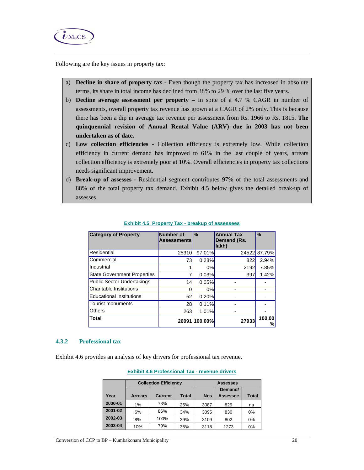

Following are the key issues in property tax:

- a) **Decline in share of property tax** Even though the property tax has increased in absolute terms, its share in total income has declined from 38% to 29 % over the last five years.
- b) **Decline average assessment per property** In spite of a 4.7 % CAGR in number of assessments, overall property tax revenue has grown at a CAGR of 2% only. This is because there has been a dip in average tax revenue per assessment from Rs. 1966 to Rs. 1815. **The quinquennial revision of Annual Rental Value (ARV) due in 2003 has not been undertaken as of date.**
- c) **Low collection efficiencies** Collection efficiency is extremely low. While collection efficiency in current demand has improved to 61% in the last couple of years, arrears collection efficiency is extremely poor at 10%. Overall efficiencies in property tax collections needs significant improvement.
- d) **Break-up of assesses** Residential segment contributes 97% of the total assessments and 88% of the total property tax demand. Exhibit 4.5 below gives the detailed break-up of assesses

| <b>Category of Property</b>        | Number of<br><b>Assessments</b> | $\%$          | <b>Annual Tax</b><br>Demand (Rs.<br>lakh) | $\frac{9}{6}$ |
|------------------------------------|---------------------------------|---------------|-------------------------------------------|---------------|
| Residential                        | 25310                           | 97.01%        | 24522                                     | 87.79%        |
| Commercial                         | 73                              | 0.28%         | 822                                       | 2.94%         |
| Industrial                         |                                 | $0\%$         | 2192                                      | 7.85%         |
| <b>State Government Properties</b> | 7                               | 0.03%         | 397                                       | 1.42%         |
| <b>Public Sector Undertakings</b>  | 14                              | 0.05%         |                                           |               |
| Charitable Institutions            | 0                               | $0\%$         |                                           |               |
| <b>Educational Institutions</b>    | 52                              | 0.20%         |                                           |               |
| <b>Tourist monuments</b>           | 28                              | 0.11%         |                                           |               |
| <b>Others</b>                      | 263                             | 1.01%         |                                           |               |
| <b>Total</b>                       |                                 | 26091 100.00% | 27933                                     | 100.00<br>%,  |

#### **Exhibit 4.5 Property Tax - breakup of assessees**

#### **4.3.2 Professional tax**

Exhibit 4.6 provides an analysis of key drivers for professional tax revenue.

|         |                | <b>Collection Efficiency</b> |              |            | <b>Assesses</b> |              |  |  |
|---------|----------------|------------------------------|--------------|------------|-----------------|--------------|--|--|
|         |                |                              |              |            | Demand/         |              |  |  |
| Year    | <b>Arrears</b> | <b>Current</b>               | <b>Total</b> | <b>Nos</b> | Assessee        | <b>Total</b> |  |  |
| 2000-01 | 1%             | 73%                          | 25%          | 3087       | 829             | na           |  |  |
| 2001-02 | 6%             | 86%                          | 34%          | 3095       | 830             | 0%           |  |  |
| 2002-03 | 8%             | 100%                         | 39%          | 3109       | 802             | 0%           |  |  |
| 2003-04 | 10%            | 79%                          | 35%          | 3118       | 1273            | 0%           |  |  |

# **Exhibit 4.6 Professional Tax - revenue drivers**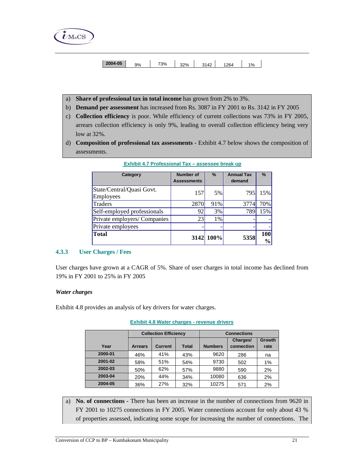

| $ 2004-05$ | 9% | 73% | 32% | 3142 | 1264 | 1% |  |
|------------|----|-----|-----|------|------|----|--|

- a) **Share of professional tax in total income** has grown from 2% to 3%.
- b) **Demand per assessment** has increased from Rs. 3087 in FY 2001 to Rs. 3142 in FY 2005
- c) **Collection efficiency** is poor. While efficiency of current collections was 73% in FY 2005, arrears collection efficiency is only 9%, leading to overall collection efficiency being very low at 32%.
- d) **Composition of professional tax assessments**  Exhibit 4.7 below shows the composition of assessments.

| Category                               | <b>Number of</b><br><b>Assessments</b> | $\%$      | <b>Annual Tax</b><br>demand | $\%$                 |
|----------------------------------------|----------------------------------------|-----------|-----------------------------|----------------------|
| State/Central/Quasi Govt.<br>Employees | 157                                    | 5%        | 795                         | 15%                  |
| Traders                                | 2870                                   | 91%       | 3774                        | 70%                  |
| Self-employed professionals            | 92                                     | 3%        | 789                         | 15%                  |
| Private employers/ Companies           | 23                                     | 1%        |                             |                      |
| Private employees                      |                                        |           |                             |                      |
| Total                                  |                                        | 3142 100% | 5358                        | 100<br>$\frac{0}{0}$ |

| Exhibit 4.7 Professional Tax - assessee break up |  |  |
|--------------------------------------------------|--|--|
|                                                  |  |  |

#### **4.3.3 User Charges / Fees**

User charges have grown at a CAGR of 5%. Share of user charges in total income has declined from 19% in FY 2001 to 25% in FY 2005

#### *Water charges*

Exhibit 4.8 provides an analysis of key drivers for water charges.

|         | <b>Collection Efficiency</b> |                |       | <b>Connections</b> |            |        |  |
|---------|------------------------------|----------------|-------|--------------------|------------|--------|--|
|         |                              |                |       |                    | Charges/   | Growth |  |
| Year    | <b>Arrears</b>               | <b>Current</b> | Total | <b>Numbers</b>     | connection | rate   |  |
| 2000-01 | 46%                          | 41%            | 43%   | 9620               | 286        | na     |  |
| 2001-02 | 58%                          | 51%            | 54%   | 9730               | 502        | 1%     |  |
| 2002-03 | 50%                          | 62%            | 57%   | 9880               | 590        | 2%     |  |
| 2003-04 | 20%                          | 44%            | 34%   | 10080              | 636        | 2%     |  |
| 2004-05 | 36%                          | 27%            | 32%   | 10275              | 571        | 2%     |  |

**Exhibit 4.8 Water charges - revenue drivers**

a) **No. of connections -** There has been an increase in the number of connections from 9620 in FY 2001 to 10275 connections in FY 2005. Water connections account for only about 43 % of properties assessed, indicating some scope for increasing the number of connections. The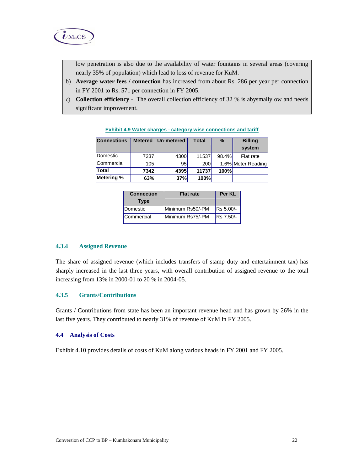

low penetration is also due to the availability of water fountains in several areas (covering nearly 35% of population) which lead to loss of revenue for KuM.

- b) **Average water fees / connection** has increased from about Rs. 286 per year per connection in FY 2001 to Rs. 571 per connection in FY 2005.
- c) **Collection efficiency** The overall collection efficiency of 32 % is abysmally ow and needs significant improvement.

| <b>Connections</b> | <b>Metered</b> | Un-metered | <b>Total</b> | $\frac{9}{6}$ | <b>Billing</b>     |
|--------------------|----------------|------------|--------------|---------------|--------------------|
|                    |                |            |              |               | system             |
| Domestic           | 7237           | 4300       | 11537        | 98.4%         | Flat rate          |
| Commercial         | 105            | 95         | <b>200</b>   |               | 1.6% Meter Reading |
| Total              | 7342           | 4395       | 11737        | <b>100%</b>   |                    |
| Metering %         | 63%            | 37%        | 100%         |               |                    |

**Exhibit 4.9 Water charges - category wise connections and tariff**

| <b>Connection</b><br><b>Type</b> | <b>Flat rate</b> | Per KL           |
|----------------------------------|------------------|------------------|
| Domestic                         | Minimum Rs50/-PM | Rs 5.00/-        |
| Commercial                       | Minimum Rs75/-PM | <b>Rs</b> 7.50/- |

#### **4.3.4 Assigned Revenue**

The share of assigned revenue (which includes transfers of stamp duty and entertainment tax) has sharply increased in the last three years, with overall contribution of assigned revenue to the total increasing from 13% in 2000-01 to 20 % in 2004-05.

### **4.3.5 Grants/Contributions**

Grants / Contributions from state has been an important revenue head and has grown by 26% in the last five years. They contributed to nearly 31% of revenue of KuM in FY 2005.

#### **4.4 Analysis of Costs**

Exhibit 4.10 provides details of costs of KuM along various heads in FY 2001 and FY 2005.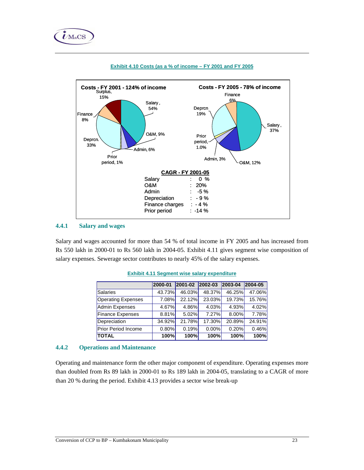



#### **Exhibit 4.10 Costs (as a % of income – FY 2001 and FY 2005**

#### **4.4.1 Salary and wages**

Salary and wages accounted for more than 54 % of total income in FY 2005 and has increased from Rs 550 lakh in 2000-01 to Rs 560 lakh in 2004-05. Exhibit 4.11 gives segment wise composition of salary expenses. Sewerage sector contributes to nearly 45% of the salary expenses.

|                            | 2000-01  | 2001-02     | 2002-03 | 2003-04 | 2004-05 |
|----------------------------|----------|-------------|---------|---------|---------|
| Salaries                   | 43.73%   | 46.03%      | 48.37%  | 46.25%  | 47.06%  |
| <b>Operating Expenses</b>  | 7.08%    | 22.12%      | 23.03%  | 19.73%  | 15.76%  |
| <b>Admin Expenses</b>      | 4.67%    | 4.86%       | 4.03%   | 4.93%   | 4.02%   |
| <b>Finance Expenses</b>    | 8.81%    | 5.02%       | 7.27%   | 8.00%   | 7.78%   |
| Depreciation               | 34.92%   | 21.78%      | 17.30%  | 20.89%  | 24.91%  |
| <b>Prior Period Income</b> | $0.80\%$ | 0.19%       | 0.00%   | 0.20%   | 0.46%   |
| <b>TOTAL</b>               | 100%     | <b>100%</b> | 100%    | 100%    | 100%    |

**Exhibit 4.11 Segment wise salary expenditure**

# **4.4.2 Operations and Maintenance**

Operating and maintenance form the other major component of expenditure. Operating expenses more than doubled from Rs 89 lakh in 2000-01 to Rs 189 lakh in 2004-05, translating to a CAGR of more than 20 % during the period. Exhibit 4.13 provides a sector wise break-up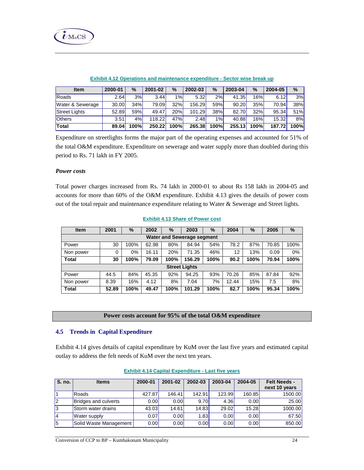

| Item                 | 2000-01 | $\%$  | 2001-02 | $\%$            | 2002-03 | %     | 2003-04 | $\%$ | 2004-05 | $\%$ |
|----------------------|---------|-------|---------|-----------------|---------|-------|---------|------|---------|------|
| <b>IRoads</b>        | 2.64    | 3%    | 3.44    | 1% <sub>l</sub> | 5.32    | 2%    | 41.35   | 16%  | 6.12    | 3%   |
| Water & Sewerage     | 30.00   | 34%   | 79.09   | 32%l            | 156.29  | 59%   | 90.20   | 35%  | 70.94   | 38%  |
| <b>Street Lights</b> | 52.89   | 59%   | 49.47   | 20%             | 101.29  | 38%   | 82.70   | 32%  | 95.34   | 51%  |
| <b>Others</b>        | 3.51    | 4%    | 118.22  | 47%             | 2.48    | 1%    | 40.88   | 16%  | 15.32   | 8%   |
| Total                | 89.04   | 100%l | 250.22  | <b>100%</b>     | 265.38  | 100%l | 255.13  | 100% | 187.72  | 100% |

#### **Exhibit 4.12 Operations and maintenance expenditure - Sector wise break up**

Expenditure on streetlights forms the major part of the operating expenses and accounted for 51% of the total O&M expenditure. Expenditure on sewerage and water supply more than doubled during this period to Rs. 71 lakh in FY 2005.

#### *Power costs*

Total power charges increased from Rs. 74 lakh in 2000-01 to about Rs 158 lakh in 2004-05 and accounts for more than 60% of the O&M expenditure. Exhibit 4.13 gives the details of power costs out of the total repair and maintenance expenditure relating to Water & Sewerage and Street lights.

| <b>Item</b>                       | 2001  | %    | 2002  | $\%$ | 2003                 | $\%$ | 2004  | %    | 2005  | %    |  |
|-----------------------------------|-------|------|-------|------|----------------------|------|-------|------|-------|------|--|
| <b>Water and Sewerage segment</b> |       |      |       |      |                      |      |       |      |       |      |  |
| Power                             | 30    | 100% | 62.98 | 80%  | 84.94                | 54%  | 78.2  | 87%  | 70.85 | 100% |  |
| Non power                         | 0     | 0%   | 16.11 | 20%  | 71.35                | 46%  | 12    | 13%  | 0.09  | 0%   |  |
| <b>Total</b>                      | 30    | 100% | 79.09 | 100% | 156.29               | 100% | 90.2  | 100% | 70.94 | 100% |  |
|                                   |       |      |       |      | <b>Street Lights</b> |      |       |      |       |      |  |
| Power                             | 44.5  | 84%  | 45.35 | 92%  | 94.25                | 93%  | 70.26 | 85%  | 87.84 | 92%  |  |
| Non power                         | 8.39  | 16%  | 4.12  | 8%   | 7.04                 | 7%   | 12.44 | 15%  | 7.5   | 8%   |  |
| <b>Total</b>                      | 52.89 | 100% | 49.47 | 100% | 101.29               | 100% | 82.7  | 100% | 95.34 | 100% |  |

#### **Exhibit 4.13 Share of Power cost**

#### **Power costs account for 95% of the total O&M expenditure**

#### **4.5 Trends in Capital Expenditure**

Exhibit 4.14 gives details of capital expenditure by KuM over the last five years and estimated capital outlay to address the felt needs of KuM over the next ten years.

| S. no. | <b>Items</b>                | 2000-01           | 2001-02           | 2002-03 | 2003-04 | 2004-05           | <b>Felt Needs -</b><br>next 10 years |
|--------|-----------------------------|-------------------|-------------------|---------|---------|-------------------|--------------------------------------|
|        | Roads                       | 427.87            | 146.41            | 142.91  | 123.99  | 160.85            | 1500.00                              |
| l2     | <b>Bridges and culverts</b> | 0.00 <sub>l</sub> | 0.00 <sub>l</sub> | 9.70    | 4.36    | 0.00              | 25.00                                |
| l3     | Storm water drains          | 43.03             | 14.61             | 14.83   | 29.02   | 15.28             | 1000.00                              |
| 14     | Water supply                | 0.07              | 0.00 <sub>l</sub> | 1.83    | 0.00    | 0.00              | 67.50                                |
| l5     | Solid Waste Management      | 0.00              | 0.00 <sub>l</sub> | 0.00    | 0.00    | 0.00 <sub>l</sub> | 850.00                               |

#### **Exhibit 4.14 Capital Expenditure - Last five years**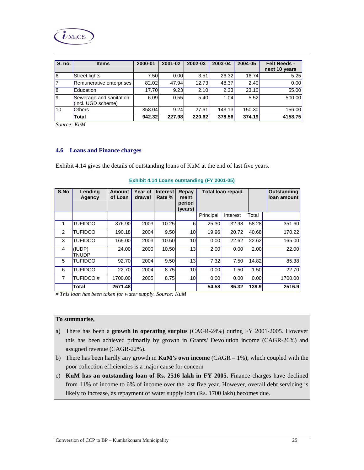

| S. no. | <b>Items</b>                                  | 2000-01 | 2001-02           | 2002-03 | 2003-04 | 2004-05 | <b>Felt Needs -</b><br>next 10 years |
|--------|-----------------------------------------------|---------|-------------------|---------|---------|---------|--------------------------------------|
| l6     | Street lights                                 | 7.50l   | 0.00 <sub>l</sub> | 3.51    | 26.32   | 16.74   | 5.25                                 |
|        | Remunerative enterprises                      | 82.02   | 47.94             | 12.73   | 48.37   | 2.40    | 0.00                                 |
| l8     | Education                                     | 17.70   | 9.23              | 2.10    | 2.33    | 23.10   | 55.00                                |
| l9     | Sewerage and sanitation<br>(incl. UGD scheme) | 6.09    | 0.55              | 5.40    | 1.04    | 5.52    | 500.00                               |
| 110    | <b>Others</b>                                 | 358.04  | 9.24              | 27.61   | 143.13  | 150.30  | 156.00                               |
|        | Total                                         | 942.32  | 227.98            | 220.62  | 378.56  | 374.19  | 4158.75                              |

*Source: KuM* 

#### **4.6 Loans and Finance charges**

Exhibit 4.14 gives the details of outstanding loans of KuM at the end of last five years.

| S.No           | Lending<br>Agency      | Amount<br>of Loan | Year of<br>drawal | <b>Interest</b><br>Rate % | Repay<br>ment<br>period<br>(years) | <b>Total loan repaid</b> |                   |       | Outstanding<br>loan amount |
|----------------|------------------------|-------------------|-------------------|---------------------------|------------------------------------|--------------------------|-------------------|-------|----------------------------|
|                |                        |                   |                   |                           |                                    | Principal                | Interest          | Total |                            |
| 1              | <b>TUFIDCO</b>         | 376.90            | 2003              | 10.25                     | 6                                  | 25.30                    | 32.98             | 58.28 | 351.60                     |
| 2              | <b>TUFIDCO</b>         | 190.18            | 2004              | 9.50                      | 10 <sup>1</sup>                    | 19.96                    | 20.72             | 40.68 | 170.22                     |
| 3              | <b>TUFIDCO</b>         | 165.00            | 2003              | 10.50                     | 10 <sup>1</sup>                    | 0.00                     | 22.62             | 22.62 | 165.00                     |
| 4              | (IUDP)<br><b>TNUDP</b> | 24.00             | 2000              | 10.50                     | 13                                 | 2.00                     | 0.00 <sub>l</sub> | 2.00  | 22.00                      |
| 5              | TUFIDCO                | 92.70             | 2004              | 9.50                      | 13                                 | 7.32                     | 7.50              | 14.82 | 85.38                      |
| 6              | <b>TUFIDCO</b>         | 22.70             | 2004              | 8.75                      | 10 <sup>1</sup>                    | 0.00                     | 1.50              | 1.50  | 22.70                      |
| $\overline{7}$ | <b>TUFIDCO#</b>        | 1700.00           | 2005              | 8.75                      | 10 <sup>1</sup>                    | 0.00                     | 0.00              | 0.00  | 1700.00                    |
|                | <b>Total</b>           | 2571.48           |                   |                           |                                    | 54.58                    | 85.32             | 139.9 | 2516.9                     |

**Exhibit 4.14 Loans outstanding (FY 2001-05)**

*# This loan has been taken for water supply. Source: KuM* 

#### **To summarise,**

- a) There has been a **growth in operating surplus** (CAGR-24%) during FY 2001-2005. However this has been achieved primarily by growth in Grants/ Devolution income (CAGR-26%) and assigned revenue (CAGR-22%).
- b) There has been hardly any growth in **KuM's own income** (CAGR 1%), which coupled with the poor collection efficiencies is a major cause for concern
- c) **KuM has an outstanding loan of Rs. 2516 lakh in FY 2005.** Finance charges have declined from 11% of income to 6% of income over the last five year. However, overall debt servicing is likely to increase, as repayment of water supply loan (Rs. 1700 lakh) becomes due.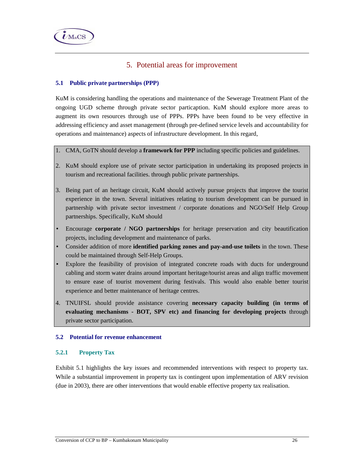

# 5. Potential areas for improvement

# **5.1 Public private partnerships (PPP)**

KuM is considering handling the operations and maintenance of the Sewerage Treatment Plant of the ongoing UGD scheme through private sector particaption. KuM should explore more areas to augment its own resources through use of PPPs. PPPs have been found to be very effective in addressing efficiency and asset management (through pre-defined service levels and accountability for operations and maintenance) aspects of infrastructure development. In this regard,

### 1. CMA, GoTN should develop a **framework for PPP** including specific policies and guidelines.

- 2. KuM should explore use of private sector participation in undertaking its proposed projects in tourism and recreational facilities. through public private partnerships.
- 3. Being part of an heritage circuit, KuM should actively pursue projects that improve the tourist experience in the town. Several initiatives relating to tourism development can be pursued in partnership with private sector investment / corporate donations and NGO/Self Help Group partnerships. Specifically, KuM should
- Encourage **corporate / NGO partnerships** for heritage preservation and city beautification projects, including development and maintenance of parks.
- Consider addition of more **identified parking zones and pay-and-use toilets** in the town. These could be maintained through Self-Help Groups.
- Explore the feasibility of provision of integrated concrete roads with ducts for underground cabling and storm water drains around important heritage/tourist areas and align traffic movement to ensure ease of tourist movement during festivals. This would also enable better tourist experience and better maintenance of heritage centres.
- 4. TNUIFSL should provide assistance covering **necessary capacity building (in terms of evaluating mechanisms - BOT, SPV etc) and financing for developing projects** through private sector participation.

# **5.2 Potential for revenue enhancement**

# **5.2.1 Property Tax**

Exhibit 5.1 highlights the key issues and recommended interventions with respect to property tax. While a substantial improvement in property tax is contingent upon implementation of ARV revision (due in 2003), there are other interventions that would enable effective property tax realisation.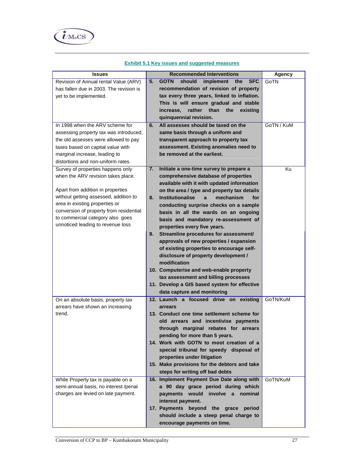

| <b>Issues</b>                           | <b>Recommended Interventions</b>                                                          | <b>Agency</b> |
|-----------------------------------------|-------------------------------------------------------------------------------------------|---------------|
| Revision of Annual rental Value (ARV)   | <b>GOTN</b><br>should<br>implement<br><b>SFC</b><br>5.<br>the                             | GoTN          |
| has fallen due in 2003. The revision is | recommendation of revision of property                                                    |               |
| yet to be implemented.                  | tax every three years, linked to inflation.                                               |               |
|                                         | This is will ensure gradual and stable                                                    |               |
|                                         | rather than<br>the<br>increase,<br>existing                                               |               |
|                                         | quinquennial revision.                                                                    |               |
| In 1998 when the ARV scheme for         | All assesses should be taxed on the<br>6.                                                 | GoTN / KuM    |
| assessing property tax was introduced,  | same basis through a uniform and                                                          |               |
| the old assesses were allowed to pay    | transparent approach to property tax                                                      |               |
| taxes based on capital value with       | assessment. Existing anomalies need to                                                    |               |
| marginal increase, leading to           | be removed at the earliest.                                                               |               |
| distortions and non-uniform rates.      |                                                                                           |               |
| Survey of properties happens only       | Initiate a one-time survey to prepare a<br>7.                                             | Κu            |
| when the ARV revision takes place.      | comprehensive database of properties                                                      |               |
| Apart from addition in properties       | available with it with updated information<br>on the area / type and property tax details |               |
| without getting assessed, addition to   | <b>Institutionalise</b><br>mechanism<br>8.<br>for<br>a                                    |               |
| area in existing properties or          | conducting surprise checks on a sample                                                    |               |
| conversion of property from residential | basis in all the wards on an ongoing                                                      |               |
| to commercial category also goes        | basis and mandatory re-assessment of                                                      |               |
| unnoticed leading to revenue loss       | properties every five years.                                                              |               |
|                                         | Streamline procedures for assessment/<br>9.                                               |               |
|                                         | approvals of new properties / expansion                                                   |               |
|                                         | of existing properties to encourage self-                                                 |               |
|                                         | disclosure of property development /                                                      |               |
|                                         | modification                                                                              |               |
|                                         | 10. Computerise and web-enable property                                                   |               |
|                                         | tax assessment and billing processes                                                      |               |
|                                         | 11. Develop a GIS based system for effective                                              |               |
|                                         | data capture and monitoring                                                               |               |
| On an absolute basis, property tax      | 12. Launch a focused drive on existing                                                    | GoTN/KuM      |
| arrears have shown an increasing        | arrears                                                                                   |               |
| trend.                                  | 13. Conduct one time settlement scheme for                                                |               |
|                                         | old arrears and incentivise payments                                                      |               |
|                                         | through marginal rebates for arrears                                                      |               |
|                                         | pending for more than 5 years.<br>14. Work with GOTN to moot creation of a                |               |
|                                         | special tribunal for speedy disposal of                                                   |               |
|                                         | properties under litigation                                                               |               |
|                                         | 15. Make provisions for the debtors and take                                              |               |
|                                         | steps for writing off bad debts                                                           |               |
| While Property tax is payable on a      | 16. Implement Payment Due Date along with                                                 | GoTN/KuM      |
| semi-annual basis, no interest /penal   | a 90 day grace period during which                                                        |               |
| charges are levied on late payment.     | would<br>involve a nominal<br>payments                                                    |               |
|                                         | interest payment.                                                                         |               |
|                                         | 17. Payments<br>beyond the<br>grace<br>period                                             |               |
|                                         | should include a steep penal charge to                                                    |               |
|                                         | encourage payments on time.                                                               |               |

#### **Exhibit 5.1 Key issues and suggested measures**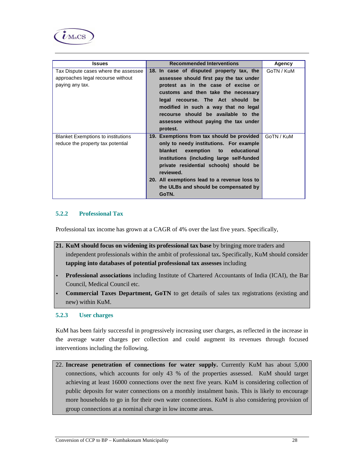

| <b>Issues</b>                             | <b>Recommended Interventions</b>                    | Agency     |
|-------------------------------------------|-----------------------------------------------------|------------|
| Tax Dispute cases where the assessee      | 18. In case of disputed property tax, the           | GoTN / KuM |
| approaches legal recourse without         | assessee should first pay the tax under             |            |
| paying any tax.                           | protest as in the case of excise or                 |            |
|                                           | customs and then take the necessary                 |            |
|                                           | legal recourse. The Act should be                   |            |
|                                           | modified in such a way that no legal                |            |
|                                           | recourse should be available to the                 |            |
|                                           | assessee without paying the tax under               |            |
|                                           | protest.                                            |            |
| <b>Blanket Exemptions to institutions</b> | 19. Exemptions from tax should be provided          | GoTN / KuM |
| reduce the property tax potential         | only to needy institutions. For example             |            |
|                                           | educational<br>blanket exemption to                 |            |
|                                           | institutions (including large self-funded           |            |
|                                           | private residential schools) should be<br>reviewed. |            |
|                                           | 20. All exemptions lead to a revenue loss to        |            |
|                                           | the ULBs and should be compensated by               |            |
|                                           | GoTN.                                               |            |

### **5.2.2 Professional Tax**

Professional tax income has grown at a CAGR of 4% over the last five years. Specifically,

- **21. KuM should focus on widening its professional tax base** by bringing more traders and independent professionals within the ambit of professional tax**.** Specifically, KuM should consider **tapping into databases of potential professional tax assesses** including
- **Professional associations** including Institute of Chartered Accountants of India (ICAI), the Bar Council, Medical Council etc.
- **Commercial Taxes Department, GoTN** to get details of sales tax registrations (existing and new) within KuM.

#### **5.2.3 User charges**

KuM has been fairly successful in progressively increasing user charges, as reflected in the increase in the average water charges per collection and could augment its revenues through focused interventions including the following.

22. **Increase penetration of connections for water supply.** Currently KuM has about 5,000 connections, which accounts for only 43 % of the properties assessed. KuM should target achieving at least 16000 connections over the next five years. KuM is considering collection of public deposits for water connections on a monthly instalment basis. This is likely to encourage more households to go in for their own water connections. KuM is also considering provision of group connections at a nominal charge in low income areas.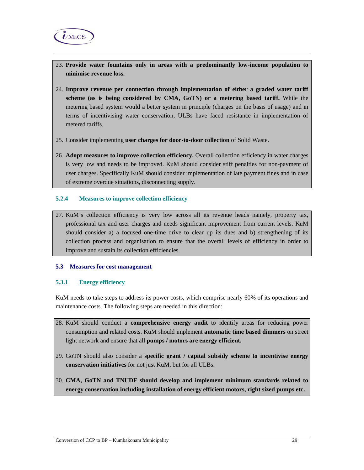

- 23. **Provide water fountains only in areas with a predominantly low-income population to minimise revenue loss.**
- 24. **Improve revenue per connection through implementation of either a graded water tariff scheme (as is being considered by CMA, GoTN) or a metering based tariff.** While the metering based system would a better system in principle (charges on the basis of usage) and in terms of incentivising water conservation, ULBs have faced resistance in implementation of metered tariffs.
- 25. Consider implementing **user charges for door-to-door collection** of Solid Waste.
- 26. **Adopt measures to improve collection efficiency.** Overall collection efficiency in water charges is very low and needs to be improved. KuM should consider stiff penalties for non-payment of user charges. Specifically KuM should consider implementation of late payment fines and in case of extreme overdue situations, disconnecting supply.

### **5.2.4 Measures to improve collection efficiency**

27. KuM's collection efficiency is very low across all its revenue heads namely, property tax, professional tax and user charges and needs significant improvement from current levels. KuM should consider a) a focused one-time drive to clear up its dues and b) strengthening of its collection process and organisation to ensure that the overall levels of efficiency in order to improve and sustain its collection efficiencies.

#### **5.3 Measures for cost management**

# **5.3.1 Energy efficiency**

KuM needs to take steps to address its power costs, which comprise nearly 60% of its operations and maintenance costs. The following steps are needed in this direction:

- 28. KuM should conduct a **comprehensive energy audit** to identify areas for reducing power consumption and related costs. KuM should implement **automatic time based dimmers** on street light network and ensure that all **pumps / motors are energy efficient.**
- 29. GoTN should also consider a **specific grant / capital subsidy scheme to incentivise energy conservation initiatives** for not just KuM, but for all ULBs.
- 30. **CMA, GoTN and TNUDF should develop and implement minimum standards related to energy conservation including installation of energy efficient motors, right sized pumps etc.**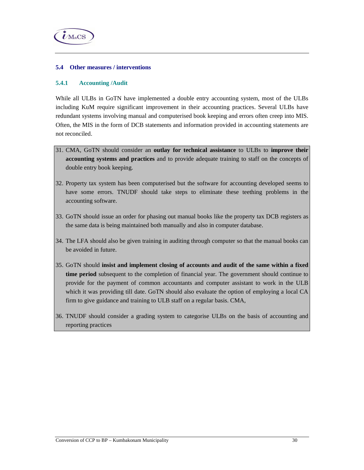

### **5.4 Other measures / interventions**

#### **5.4.1 Accounting /Audit**

While all ULBs in GoTN have implemented a double entry accounting system, most of the ULBs including KuM require significant improvement in their accounting practices. Several ULBs have redundant systems involving manual and computerised book keeping and errors often creep into MIS. Often, the MIS in the form of DCB statements and information provided in accounting statements are not reconciled.

- 31. CMA, GoTN should consider an **outlay for technical assistance** to ULBs to **improve their accounting systems and practices** and to provide adequate training to staff on the concepts of double entry book keeping.
- 32. Property tax system has been computerised but the software for accounting developed seems to have some errors. TNUDF should take steps to eliminate these teething problems in the accounting software.
- 33. GoTN should issue an order for phasing out manual books like the property tax DCB registers as the same data is being maintained both manually and also in computer database.
- 34. The LFA should also be given training in auditing through computer so that the manual books can be avoided in future.
- 35. GoTN should **insist and implement closing of accounts and audit of the same within a fixed time period** subsequent to the completion of financial year. The government should continue to provide for the payment of common accountants and computer assistant to work in the ULB which it was providing till date. GoTN should also evaluate the option of employing a local CA firm to give guidance and training to ULB staff on a regular basis. CMA,
- 36. TNUDF should consider a grading system to categorise ULBs on the basis of accounting and reporting practices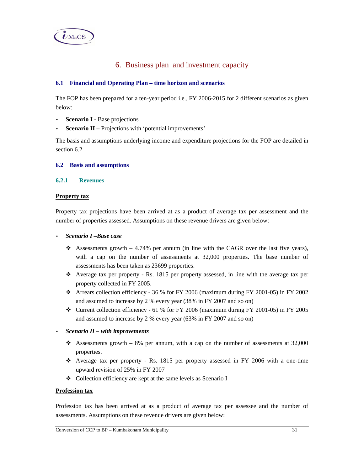

# 6. Business plan and investment capacity

# **6.1 Financial and Operating Plan – time horizon and scenarios**

The FOP has been prepared for a ten-year period i.e., FY 2006-2015 for 2 different scenarios as given below:

- **Scenario I -** Base projections
- **Scenario II** Projections with 'potential improvements'

The basis and assumptions underlying income and expenditure projections for the FOP are detailed in section 6.2

#### **6.2 Basis and assumptions**

#### **6.2.1 Revenues**

#### **Property tax**

Property tax projections have been arrived at as a product of average tax per assessment and the number of properties assessed. Assumptions on these revenue drivers are given below:

- *Scenario I –Base case*
	- Assessments growth  $-4.74\%$  per annum (in line with the CAGR over the last five years), with a cap on the number of assessments at 32,000 properties. The base number of assessments has been taken as 23699 properties.
	- $\cdot \cdot$  Average tax per property Rs. 1815 per property assessed, in line with the average tax per property collected in FY 2005.
	- Arrears collection efficiency 36 % for FY 2006 (maximum during FY 2001-05) in FY 2002 and assumed to increase by 2 % every year (38% in FY 2007 and so on)
	- $\div$  Current collection efficiency 61 % for FY 2006 (maximum during FY 2001-05) in FY 2005 and assumed to increase by 2 % every year (63% in FY 2007 and so on)
- *Scenario II with improvements* 
	- Assessments growth  $-8\%$  per annum, with a cap on the number of assessments at 32,000 properties.
	- $\div$  Average tax per property Rs. 1815 per property assessed in FY 2006 with a one-time upward revision of 25% in FY 2007
	- Collection efficiency are kept at the same levels as Scenario I

### **Profession tax**

Profession tax has been arrived at as a product of average tax per assessee and the number of assessments. Assumptions on these revenue drivers are given below: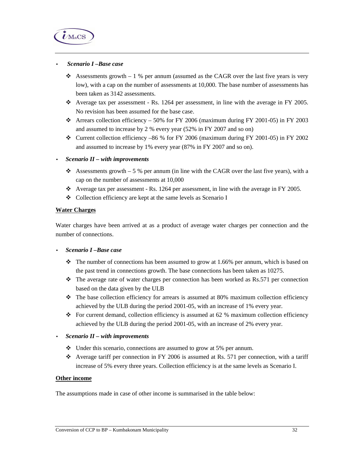

#### • *Scenario I –Base case*

- Assessments growth  $-1$  % per annum (assumed as the CAGR over the last five years is very low), with a cap on the number of assessments at 10,000. The base number of assessments has been taken as 3142 assessments.
- $\bullet$  Average tax per assessment Rs. 1264 per assessment, in line with the average in FY 2005. No revision has been assumed for the base case.
- Arrears collection efficiency 50% for FY 2006 (maximum during FY 2001-05) in FY 2003 and assumed to increase by 2 % every year (52% in FY 2007 and so on)
- Current collection efficiency –86 % for FY 2006 (maximum during FY 2001-05) in FY 2002 and assumed to increase by 1% every year (87% in FY 2007 and so on).

#### • *Scenario II – with improvements*

- Assessments growth 5 % per annum (in line with the CAGR over the last five years), with a cap on the number of assessments at 10,000
- $\bullet$  Average tax per assessment Rs. 1264 per assessment, in line with the average in FY 2005.
- Collection efficiency are kept at the same levels as Scenario I

#### **Water Charges**

Water charges have been arrived at as a product of average water charges per connection and the number of connections.

## • *Scenario I –Base case*

- $\cdot \cdot$  The number of connections has been assumed to grow at 1.66% per annum, which is based on the past trend in connections growth. The base connections has been taken as 10275.
- $\cdot \cdot$  The average rate of water charges per connection has been worked as Rs.571 per connection based on the data given by the ULB
- \* The base collection efficiency for arrears is assumed at 80% maximum collection efficiency achieved by the ULB during the period 2001-05, with an increase of 1% every year.
- For current demand, collection efficiency is assumed at 62 % maximum collection efficiency achieved by the ULB during the period 2001-05, with an increase of 2% every year.

#### • *Scenario II – with improvements*

- $\cdot$  Under this scenario, connections are assumed to grow at 5% per annum.
- $\bullet$  Average tariff per connection in FY 2006 is assumed at Rs. 571 per connection, with a tariff increase of 5% every three years. Collection efficiency is at the same levels as Scenario I.

#### **Other income**

The assumptions made in case of other income is summarised in the table below: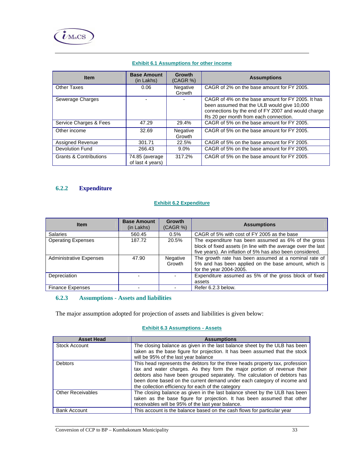

| <b>Item</b>                       | <b>Base Amount</b><br>(in Lakhs)   | Growth<br>(CAGR %) | <b>Assumptions</b>                                                                                                                                                                              |
|-----------------------------------|------------------------------------|--------------------|-------------------------------------------------------------------------------------------------------------------------------------------------------------------------------------------------|
| Other Taxes                       | 0.06                               | Negative<br>Growth | CAGR of 2% on the base amount for FY 2005.                                                                                                                                                      |
| Sewerage Charges                  |                                    |                    | CAGR of 4% on the base amount for FY 2005. It has<br>been assumed that the ULB would give 10,000<br>connections by the end of FY 2007 and would charge<br>Rs 20 per month from each connection. |
| Service Charges & Fees            | 47.29                              | 29.4%              | CAGR of 5% on the base amount for FY 2005.                                                                                                                                                      |
| Other income                      | 32.69                              | Negative<br>Growth | CAGR of 5% on the base amount for FY 2005.                                                                                                                                                      |
| Assigned Revenue                  | 301.71                             | 22.5%              | CAGR of 5% on the base amount for FY 2005.                                                                                                                                                      |
| <b>Devolution Fund</b>            | 266.43                             | $9.0\%$            | CAGR of 5% on the base amount for FY 2005.                                                                                                                                                      |
| <b>Grants &amp; Contributions</b> | 74.85 (average<br>of last 4 years) | 317.2%             | CAGR of 5% on the base amount for FY 2005.                                                                                                                                                      |

# **Exhibit 6.1 Assumptions for other income**

# **6.2.2 Expenditure**

# **Exhibit 6.2 Expenditure**

| <b>Item</b>                    | <b>Base Amount</b><br>(in Lakhs) | <b>Growth</b><br>(CAGR %) | <b>Assumptions</b>                                                                                                                                                                |
|--------------------------------|----------------------------------|---------------------------|-----------------------------------------------------------------------------------------------------------------------------------------------------------------------------------|
| <b>Salaries</b>                | 560.45                           | 0.5%                      | CAGR of 5% with cost of FY 2005 as the base                                                                                                                                       |
| <b>Operating Expenses</b>      | 187.72                           | 20.5%                     | The expenditure has been assumed as 6% of the gross<br>block of fixed assets (in line with the average over the last<br>five years). An inflation of 5% has also been considered. |
| <b>Administrative Expenses</b> | 47.90                            | Negative<br>Growth        | The growth rate has been assumed at a nominal rate of<br>5% and has been applied on the base amount, which is<br>for the year 2004-2005.                                          |
| Depreciation                   |                                  |                           | Expenditure assumed as 5% of the gross block of fixed<br>assets                                                                                                                   |
| <b>Finance Expenses</b>        |                                  |                           | Refer 6.2.3 below.                                                                                                                                                                |

### **6.2.3 Assumptions - Assets and liabilities**

The major assumption adopted for projection of assets and liabilities is given below:

#### **Exhibit 6.3 Assumptions - Assets**

| <b>Asset Head</b>        | <b>Assumptions</b>                                                                                                                                                                                                                                                                                                                                                    |
|--------------------------|-----------------------------------------------------------------------------------------------------------------------------------------------------------------------------------------------------------------------------------------------------------------------------------------------------------------------------------------------------------------------|
| <b>Stock Account</b>     | The closing balance as given in the last balance sheet by the ULB has been                                                                                                                                                                                                                                                                                            |
|                          | taken as the base figure for projection. It has been assumed that the stock                                                                                                                                                                                                                                                                                           |
|                          | will be 95% of the last year balance                                                                                                                                                                                                                                                                                                                                  |
| Debtors                  | This head represents the debtors for the three heads property tax, profession<br>tax and water charges. As they form the major portion of revenue their<br>debtors also have been grouped separately. The calculation of debtors has<br>been done based on the current demand under each category of income and<br>the collection efficiency for each of the category |
| <b>Other Receivables</b> | The closing balance as given in the last balance sheet by the ULB has been                                                                                                                                                                                                                                                                                            |
|                          | taken as the base figure for projection. It has been assumed that other                                                                                                                                                                                                                                                                                               |
|                          | receivables will be 95% of the last year balance.                                                                                                                                                                                                                                                                                                                     |
| <b>Bank Account</b>      | This account is the balance based on the cash flows for particular year                                                                                                                                                                                                                                                                                               |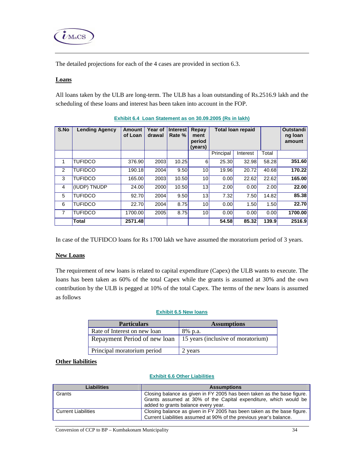

The detailed projections for each of the 4 cases are provided in section 6.3.

## **Loans**

All loans taken by the ULB are long-term. The ULB has a loan outstanding of Rs.2516.9 lakh and the scheduling of these loans and interest has been taken into account in the FOP.

| S.No           | <b>Lending Agency</b> | <b>Amount</b><br>of Loan | Year of<br>drawal | Interest<br>Rate % | Repay<br>ment<br>period<br>(years) |           | <b>Total loan repaid</b> |       | Outstandi<br>ng loan<br>amount |
|----------------|-----------------------|--------------------------|-------------------|--------------------|------------------------------------|-----------|--------------------------|-------|--------------------------------|
|                |                       |                          |                   |                    |                                    | Principal | Interest                 | Total |                                |
| 1              | <b>TUFIDCO</b>        | 376.90                   | 2003              | 10.25              | 6                                  | 25.30     | 32.98                    | 58.28 | 351.60                         |
| 2              | <b>TUFIDCO</b>        | 190.18                   | 2004              | 9.50               | 10 <sup>1</sup>                    | 19.96     | 20.72                    | 40.68 | 170.22                         |
| 3              | <b>TUFIDCO</b>        | 165.00                   | 2003              | 10.50              | 10 <sup>1</sup>                    | 0.00      | 22.62                    | 22.62 | 165.00                         |
| 4              | (IUDP) TNUDP          | 24.00                    | <b>2000</b>       | 10.50              | 13 <sup>1</sup>                    | 2.00      | 0.00                     | 2.00  | 22.00                          |
| 5              | <b>TUFIDCO</b>        | 92.70                    | <b>2004</b>       | 9.50               | 13 <sup>1</sup>                    | 7.32      | 7.50                     | 14.82 | 85.38                          |
| 6              | <b>TUFIDCO</b>        | 22.70                    | 2004              | 8.75               | 10 <sup>1</sup>                    | 0.00      | 1.50                     | 1.50  | 22.70                          |
| $\overline{7}$ | <b>TUFIDCO</b>        | 1700.00                  | 2005              | 8.75               | 10 <sup>1</sup>                    | 0.00      | 0.00                     | 0.00  | 1700.00                        |
|                | <b>Total</b>          | 2571.48                  |                   |                    |                                    | 54.58     | 85.32                    | 139.9 | 2516.9                         |

**Exhibit 6.4 Loan Statement as on 30.09.2005 (Rs in lakh)**

In case of the TUFIDCO loans for Rs 1700 lakh we have assumed the moratorium period of 3 years.

#### **New Loans**

The requirement of new loans is related to capital expenditure (Capex) the ULB wants to execute. The loans has been taken as 60% of the total Capex while the grants is assumed at 30% and the own contribution by the ULB is pegged at 10% of the total Capex. The terms of the new loans is assumed as follows

#### **Exhibit 6.5 New loans**

| <b>Particulars</b>           | <b>Assumptions</b>                 |  |  |  |  |
|------------------------------|------------------------------------|--|--|--|--|
| Rate of Interest on new loan | 8% p.a.                            |  |  |  |  |
| Repayment Period of new loan | 15 years (inclusive of moratorium) |  |  |  |  |
| Principal moratorium period  | 2 years                            |  |  |  |  |

#### **Other liabilities**

#### **Exhibit 6.6 Other Liabilities**

| Liabilities                | <b>Assumptions</b>                                                                                                                           |  |  |  |  |
|----------------------------|----------------------------------------------------------------------------------------------------------------------------------------------|--|--|--|--|
| Grants                     | Closing balance as given in FY 2005 has been taken as the base figure.                                                                       |  |  |  |  |
|                            | Grants assumed at 30% of the Capital expenditure, which would be<br>added to grants balance every year.                                      |  |  |  |  |
| <b>Current Liabilities</b> | Closing balance as given in FY 2005 has been taken as the base figure.<br>Current Liabilities assumed at 90% of the previous year's balance. |  |  |  |  |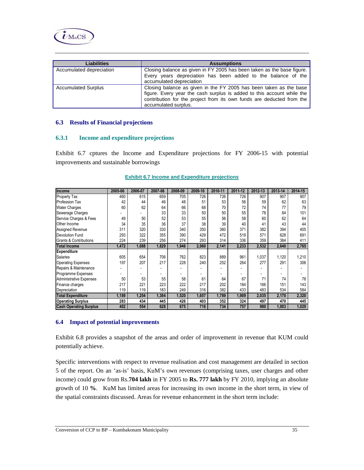

| <b>Liabilities</b>         | <b>Assumptions</b>                                                                                                                                                                                                                            |  |  |  |  |
|----------------------------|-----------------------------------------------------------------------------------------------------------------------------------------------------------------------------------------------------------------------------------------------|--|--|--|--|
| Accumulated depreciation   | Closing balance as given in FY 2005 has been taken as the base figure.<br>Every years depreciation has been added to the balance of the<br>accumulated depreciation                                                                           |  |  |  |  |
| <b>Accumulated Surplus</b> | Closing balance as given in the FY 2005 has been taken as the base<br>figure. Every year the cash surplus is added to this account while the<br>contribution for the project from its own funds are deducted from the<br>accumulated surplus. |  |  |  |  |

#### **6.3 Results of Financial projections**

#### **6.3.1 Income and expenditure projections**

Exhibit 6.7 cptures the Income and Expenditure projections for FY 2006-15 with potential improvements and sustainable borrowings

| Income                            | 2005-06 | 2006-07 | 2007-08 | 2008-09 | 2009-10 | 2010-11 | 2011-12 | 2012-13 | 2013-14 | 2014-15 |
|-----------------------------------|---------|---------|---------|---------|---------|---------|---------|---------|---------|---------|
| <b>Property Tax</b>               | 460     | 615     | 659     | 705     | 726     | 726     | 726     | 907     | 907     | 907     |
| <b>Profession Tax</b>             | 42      | 44      | 46      | 48      | 51      | 53      | 56      | 59      | 62      | 63      |
| <b>Water Charges</b>              | 60      | 62      | 64      | 66      | 68      | 70      | 72      | 74      | 77      | 79      |
| Sewerage Charges                  |         |         | 33      | 33      | 50      | 50      | 55      | 78      | 84      | 101     |
| Service Charges & Fees            | 49      | 50      | 52      | 53      | 55      | 56      | 58      | 60      | 62      | 64      |
| Other Income                      | 34      | 35      | 36      | 37      | 38      | 39      | 40      | 41      | 43      | 44      |
| Assigned Revenue                  | 311     | 320     | 330     | 340     | 350     | 360     | 371     | 382     | 394     | 405     |
| <b>Devolution Fund</b>            | 293     | 322     | 355     | 390     | 429     | 472     | 519     | 571     | 628     | 691     |
| <b>Grants &amp; Contributions</b> | 224     | 239     | 256     | 274     | 293     | 314     | 336     | 359     | 384     | 411     |
| <b>Total Income</b>               | 1,472   | 1,688   | 1,829   | 1,946   | 2,060   | 2,141   | 2,233   | 2,532   | 2,640   | 2,765   |
| <b>Expenditure</b>                |         |         |         |         |         |         |         |         |         |         |
| Salaries                          | 605     | 654     | 706     | 762     | 823     | 889     | 961     | 1,037   | 1,120   | 1,210   |
| <b>Operating Expenses</b>         | 197     | 207     | 217     | 228     | 240     | 252     | 264     | 277     | 291     | 306     |
| Repairs & Maintenance             |         |         |         |         |         |         |         |         |         |         |
| Programme Expenses                |         |         |         |         |         |         |         |         |         |         |
| <b>Administrative Expenses</b>    | 50      | 53      | 55      | 58      | 61      | 64      | 67      | 71      | 74      | 78      |
| Finance charges                   | 217     | 221     | 223     | 222     | 217     | 202     | 184     | 166     | 151     | 143     |
| Depreciation                      | 119     | 119     | 183     | 249     | 316     | 382     | 433     | 483     | 534     | 584     |
| <b>Total Expenditure</b>          | 1,189   | 1,254   | 1,384   | 1,520   | 1,657   | 1,789   | 1,909   | 2,035   | 2,170   | 2,320   |
| <b>Operating Surplus</b>          | 283     | 434     | 445     | 426     | 403     | 352     | 324     | 497     | 470     | 445     |
| <b>Cash Operating Surplus</b>     | 402     | 554     | 628     | 675     | 718     | 734     | 757     | 980     | 1,003   | 1,029   |

#### **Exhibit 6.7 Income and Expenditure projections**

#### **6.4 Impact of potential improvements**

Exhibit 6.8 provides a snapshot of the areas and order of improvement in revenue that KUM could potentially achieve.

Specific interventions with respect to revenue realisation and cost management are detailed in section 5 of the report. On an 'as-is' basis, KuM's own revenues (comprising taxes, user charges and other income) could grow from Rs.**704 lakh** in FY 2005 to **Rs. 777 lakh** by FY 2010, implying an absolute growth of 10 **%**. KuM has limited areas for increasing its own income in the short term, in view of the spatial constraints discussed. Areas for revenue enhancement in the short term include: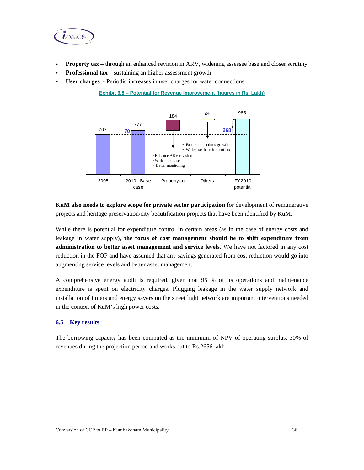

- **Property tax** through an enhanced revision in ARV, widening assessee base and closer scrutiny
- **Professional tax** sustaining an higher assessment growth
- User charges Periodic increases in user charges for water connections



**Exhibit 6.8 – Potential for Revenue Improvement (figures in Rs. Lakh)**

**KuM also needs to explore scope for private sector participation** for development of remunerative projects and heritage preservation/city beautification projects that have been identified by KuM.

While there is potential for expenditure control in certain areas (as in the case of energy costs and leakage in water supply), **the focus of cost management should be to shift expenditure from administration to better asset management and service levels.** We have not factored in any cost reduction in the FOP and have assumed that any savings generated from cost reduction would go into augmenting service levels and better asset management.

A comprehensive energy audit is required, given that 95 % of its operations and maintenance expenditure is spent on electricity charges. Plugging leakage in the water supply network and installation of timers and energy savers on the street light network are important interventions needed in the context of KuM's high power costs.

#### **6.5 Key results**

The borrowing capacity has been computed as the minimum of NPV of operating surplus, 30% of revenues during the projection period and works out to Rs.2656 lakh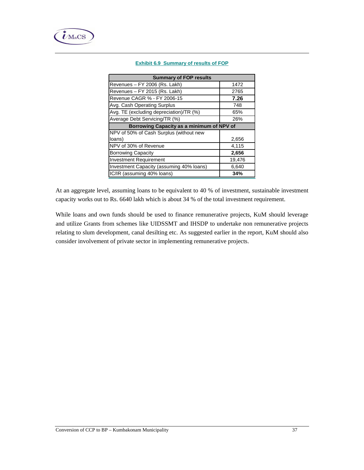

#### **Exhibit 6.9 Summary of results of FOP**

| <b>Summary of FOP results</b>             |        |  |  |  |  |  |
|-------------------------------------------|--------|--|--|--|--|--|
| Revenues - FY 2006 (Rs. Lakh)             | 1472   |  |  |  |  |  |
| Revenues - FY 2015 (Rs. Lakh)             | 2765   |  |  |  |  |  |
| Revenue CAGR % - FY 2006-15               | 7.26   |  |  |  |  |  |
| Avg. Cash Operating Surplus               | 748    |  |  |  |  |  |
| Avg. TE (excluding depreciation)/TR (%)   | 65%    |  |  |  |  |  |
| Average Debt Servicing/TR (%)             | 26%    |  |  |  |  |  |
| Borrowing Capacity as a minimum of NPV of |        |  |  |  |  |  |
| NPV of 50% of Cash Surplus (without new   |        |  |  |  |  |  |
| loans)                                    | 2,656  |  |  |  |  |  |
| NPV of 30% of Revenue                     | 4,115  |  |  |  |  |  |
| <b>Borrowing Capacity</b>                 | 2,656  |  |  |  |  |  |
| <b>Investment Requirement</b>             | 19,476 |  |  |  |  |  |
| Investment Capacity (assuming 40% loans)  | 6,640  |  |  |  |  |  |
| IC/IR (assuming 40% loans)                | 34%    |  |  |  |  |  |

At an aggregate level, assuming loans to be equivalent to 40 % of investment, sustainable investment capacity works out to Rs. 6640 lakh which is about 34 % of the total investment requirement.

While loans and own funds should be used to finance remunerative projects, KuM should leverage and utilize Grants from schemes like UIDSSMT and IHSDP to undertake non remunerative projects relating to slum development, canal desilting etc. As suggested earlier in the report, KuM should also consider involvement of private sector in implementing remunerative projects.